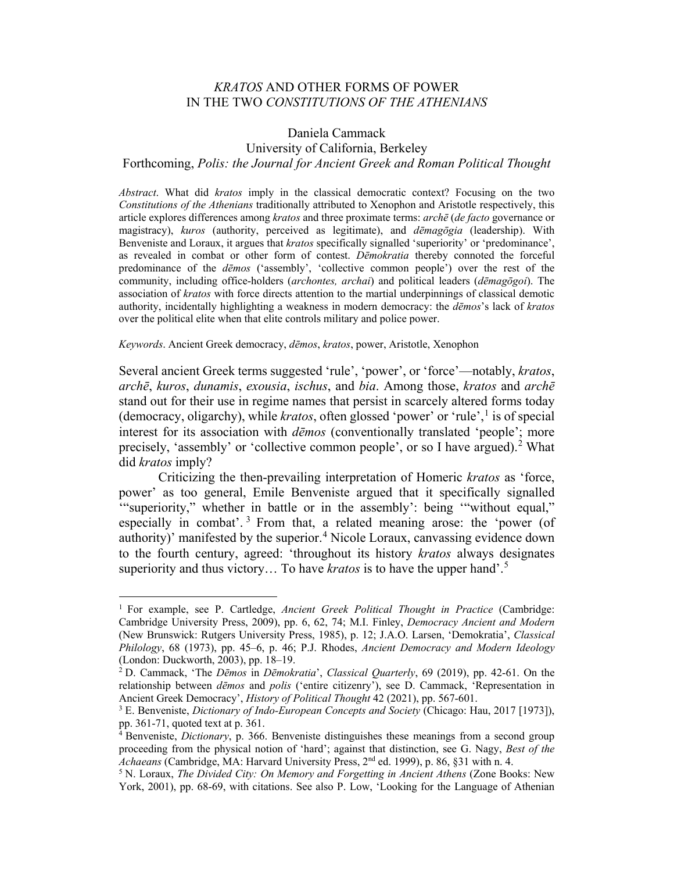# *KRATOS* AND OTHER FORMS OF POWER IN THE TWO *CONSTITUTIONS OF THE ATHENIANS*

# Daniela Cammack University of California, Berkeley Forthcoming, *Polis: the Journal for Ancient Greek and Roman Political Thought*

*Abstract*. What did *kratos* imply in the classical democratic context? Focusing on the two *Constitutions of the Athenians* traditionally attributed to Xenophon and Aristotle respectively, this article explores differences among *kratos* and three proximate terms: *archē* (*de facto* governance or magistracy), *kuros* (authority, perceived as legitimate), and *dēmagōgia* (leadership). With Benveniste and Loraux, it argues that *kratos* specifically signalled 'superiority' or 'predominance', as revealed in combat or other form of contest. *Dēmokratia* thereby connoted the forceful predominance of the *dēmos* ('assembly', 'collective common people') over the rest of the community, including office-holders (*archontes, archai*) and political leaders (*dēmagōgoi*). The association of *kratos* with force directs attention to the martial underpinnings of classical demotic authority, incidentally highlighting a weakness in modern democracy: the *dēmos*'s lack of *kratos* over the political elite when that elite controls military and police power.

#### *Keywords*. Ancient Greek democracy, *dēmos*, *kratos*, power, Aristotle, Xenophon

Several ancient Greek terms suggested 'rule', 'power', or 'force'—notably, *kratos*, *archē*, *kuros*, *dunamis*, *exousia*, *ischus*, and *bia*. Among those, *kratos* and *archē* stand out for their use in regime names that persist in scarcely altered forms today (democracy, oligarchy), while *kratos*, often glossed 'power' or 'rule', [1](#page-0-0) is of special interest for its association with *dēmos* (conventionally translated 'people'; more precisely, 'assembly' or 'collective common people', or so I have argued).<sup>[2](#page-0-1)</sup> What did *kratos* imply?

Criticizing the then-prevailing interpretation of Homeric *kratos* as 'force, power' as too general, Emile Benveniste argued that it specifically signalled '"superiority," whether in battle or in the assembly': being '"without equal," especially in combat'.<sup>[3](#page-0-2)</sup> From that, a related meaning arose: the 'power (of authority)' manifested by the superior.<sup>[4](#page-0-3)</sup> Nicole Loraux, canvassing evidence down to the fourth century, agreed: 'throughout its history *kratos* always designates superiority and thus victory… To have *kratos* is to have the upper hand'.[5](#page-0-4)

<span id="page-0-0"></span><sup>1</sup> For example, see P. Cartledge, *Ancient Greek Political Thought in Practice* (Cambridge: Cambridge University Press, 2009), pp. 6, 62, 74; M.I. Finley, *Democracy Ancient and Modern* (New Brunswick: Rutgers University Press, 1985), p. 12; J.A.O. Larsen, 'Demokratia', *Classical Philology*, 68 (1973), pp. 45–6, p. 46; P.J. Rhodes, *Ancient Democracy and Modern Ideology* (London: Duckworth, 2003), pp. 18–19.

<span id="page-0-1"></span><sup>2</sup> D. Cammack, 'The *Dēmos* in *Dēmokratia*', *Classical Quarterly*, 69 (2019), pp. 42-61. On the relationship between *dēmos* and *polis* ('entire citizenry'), see D. Cammack, 'Representation in Ancient Greek Democracy', *History of Political Thought* 42 (2021), pp. 567-601.

<span id="page-0-2"></span><sup>3</sup> E. Benveniste, *Dictionary of Indo-European Concepts and Society* (Chicago: Hau, 2017 [1973]), pp. 361-71, quoted text at p. 361.

<span id="page-0-3"></span><sup>4</sup> Benveniste, *Dictionary*, p. 366. Benveniste distinguishes these meanings from a second group proceeding from the physical notion of 'hard'; against that distinction, see G. Nagy, *Best of the Achaeans* (Cambridge, MA: Harvard University Press, 2<sup>nd</sup> ed. 1999), p. 86, §31 with n. 4.<br><sup>5</sup> N. Loraux, *The Divided City: On Memory and Forgetting in Ancient Athens* (Zone Books: New

<span id="page-0-4"></span>York, 2001), pp. 68-69, with citations. See also P. Low, 'Looking for the Language of Athenian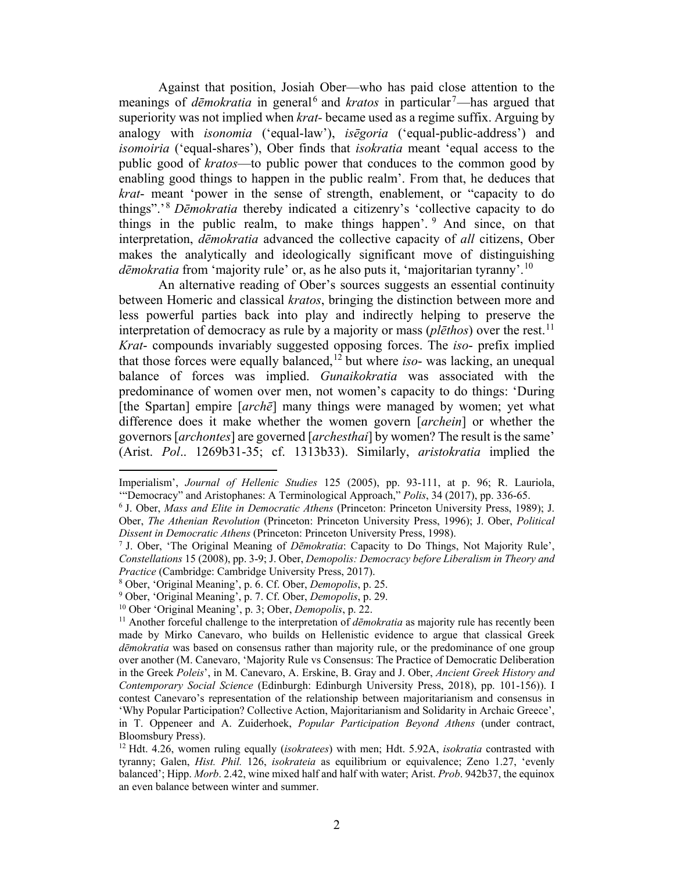Against that position, Josiah Ober—who has paid close attention to the meanings of *dēmokratia* in general<sup>[6](#page-1-0)</sup> and *kratos* in particular<sup>[7](#page-1-1)</sup>—has argued that superiority was not implied when *krat-* became used as a regime suffix. Arguing by analogy with *isonomia* ('equal-law'), *isēgoria* ('equal-public-address') and *isomoiria* ('equal-shares'), Ober finds that *isokratia* meant 'equal access to the public good of *kratos*—to public power that conduces to the common good by enabling good things to happen in the public realm'. From that, he deduces that *krat*- meant 'power in the sense of strength, enablement, or "capacity to do things".' [8](#page-1-2) *Dēmokratia* thereby indicated a citizenry's 'collective capacity to do things in the public realm, to make things happen'. <sup>[9](#page-1-3)</sup> And since, on that interpretation, *dēmokratia* advanced the collective capacity of *all* citizens, Ober makes the analytically and ideologically significant move of distinguishing *dēmokratia* from 'majority rule' or, as he also puts it, 'majoritarian tyranny'.[10](#page-1-4)

An alternative reading of Ober's sources suggests an essential continuity between Homeric and classical *kratos*, bringing the distinction between more and less powerful parties back into play and indirectly helping to preserve the interpretation of democracy as rule by a majority or mass (*plēthos*) over the rest. [11](#page-1-5) *Krat*- compounds invariably suggested opposing forces. The *iso*- prefix implied that those forces were equally balanced,[12](#page-1-6) but where *iso*- was lacking, an unequal balance of forces was implied. *Gunaikokratia* was associated with the predominance of women over men, not women's capacity to do things: 'During [the Spartan] empire [*archē*] many things were managed by women; yet what difference does it make whether the women govern [*archein*] or whether the governors [*archontes*] are governed [*archesthai*] by women? The result is the same' (Arist. *Pol*.. 1269b31-35; cf. 1313b33). Similarly, *aristokratia* implied the

<span id="page-1-2"></span><sup>8</sup> Ober, 'Original Meaning', p. 6. Cf. Ober, *Demopolis*, p. 25.

Imperialism', *Journal of Hellenic Studies* 125 (2005), pp. 93-111, at p. 96; R. Lauriola, "Democracy" and Aristophanes: A Terminological Approach," *Polis*, 34 (2017), pp. 336-65.

<span id="page-1-0"></span><sup>&</sup>lt;sup>6</sup> J. Ober, *Mass and Elite in Democratic Athens* (Princeton: Princeton University Press, 1989); J. Ober, *The Athenian Revolution* (Princeton: Princeton University Press, 1996); J. Ober, *Political Dissent in Democratic Athens* (Princeton: Princeton University Press, 1998).

<span id="page-1-1"></span><sup>7</sup> J. Ober, 'The Original Meaning of *Dēmokratia*: Capacity to Do Things, Not Majority Rule', *Constellations* 15 (2008), pp. 3-9; J. Ober, *Demopolis: Democracy before Liberalism in Theory and Practice* (Cambridge: Cambridge University Press, 2017).

<span id="page-1-5"></span><span id="page-1-4"></span><span id="page-1-3"></span><sup>&</sup>lt;sup>10</sup> Ober 'Original Meaning', p. 3; Ober, *Demopolis*, p. 22.<br><sup>11</sup> Another forceful challenge to the interpretation of *dēmokratia* as majority rule has recently been made by Mirko Canevaro, who builds on Hellenistic evidence to argue that classical Greek *dēmokratia* was based on consensus rather than majority rule, or the predominance of one group over another (M. Canevaro, 'Majority Rule vs Consensus: The Practice of Democratic Deliberation in the Greek *Poleis*', in M. Canevaro, A. Erskine, B. Gray and J. Ober, *Ancient Greek History and Contemporary Social Science* (Edinburgh: Edinburgh University Press, 2018), pp. 101-156)). I contest Canevaro's representation of the relationship between majoritarianism and consensus in 'Why Popular Participation? Collective Action, Majoritarianism and Solidarity in Archaic Greece', in T. Oppeneer and A. Zuiderhoek, *Popular Participation Beyond Athens* (under contract, Bloomsbury Press).

<span id="page-1-6"></span><sup>12</sup> Hdt. 4.26, women ruling equally (*isokratees*) with men; Hdt. 5.92A, *isokratia* contrasted with tyranny; Galen, *Hist. Phil.* 126, *isokrateia* as equilibrium or equivalence; Zeno 1.27, 'evenly balanced'; Hipp. *Morb*. 2.42, wine mixed half and half with water; Arist. *Prob*. 942b37, the equinox an even balance between winter and summer.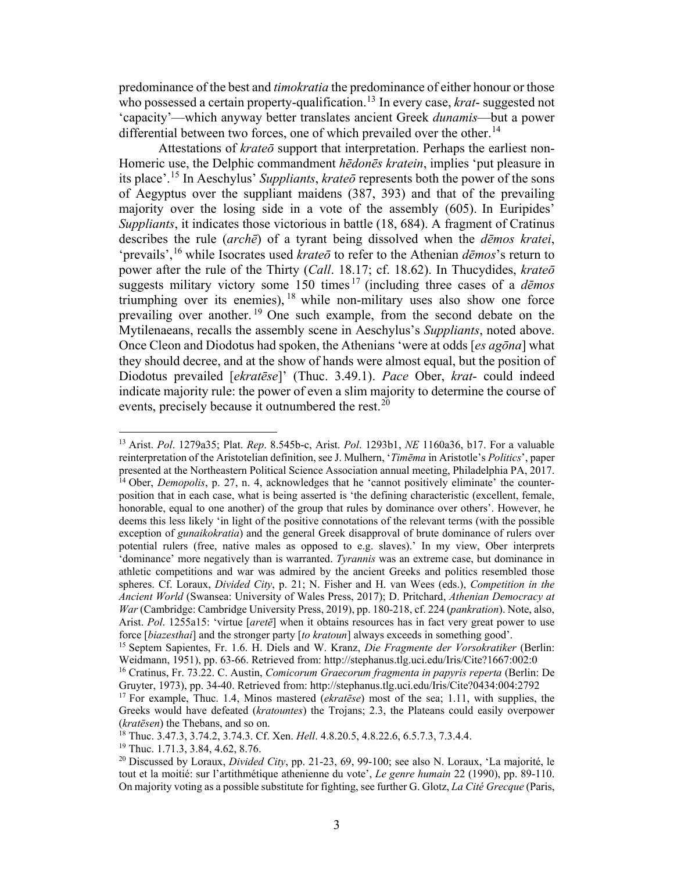predominance of the best and *timokratia* the predominance of either honour or those who possessed a certain property-qualification.[13](#page-2-0) In every case, *krat*- suggested not 'capacity'—which anyway better translates ancient Greek *dunamis*—but a power differential between two forces, one of which prevailed over the other.<sup>[14](#page-2-1)</sup>

Attestations of *krateō* support that interpretation. Perhaps the earliest non-Homeric use, the Delphic commandment *hēdonēs kratein*, implies 'put pleasure in its place'.[15](#page-2-2) In Aeschylus' *Suppliants*, *krateō* represents both the power of the sons of Aegyptus over the suppliant maidens (387, 393) and that of the prevailing majority over the losing side in a vote of the assembly (605). In Euripides' *Suppliants*, it indicates those victorious in battle (18, 684). A fragment of Cratinus describes the rule (*archē*) of a tyrant being dissolved when the *dēmos kratei*, 'prevails',[16](#page-2-3) while Isocrates used *krateō* to refer to the Athenian *dēmos*'s return to power after the rule of the Thirty (*Call*. 18.17; cf. 18.62). In Thucydides, *krateō* suggests military victory some 150 times [17](#page-2-4) (including three cases of a *dēmos* triumphing over its enemies), [18](#page-2-5) while non-military uses also show one force prevailing over another.<sup>[19](#page-2-6)</sup> One such example, from the second debate on the Mytilenaeans, recalls the assembly scene in Aeschylus's *Suppliants*, noted above. Once Cleon and Diodotus had spoken, the Athenians 'were at odds [*es agōna*] what they should decree, and at the show of hands were almost equal, but the position of Diodotus prevailed [*ekratēse*]' (Thuc. 3.49.1). *Pace* Ober, *krat*- could indeed indicate majority rule: the power of even a slim majority to determine the course of events, precisely because it outnumbered the rest.<sup>[20](#page-2-7)</sup>

<span id="page-2-1"></span><span id="page-2-0"></span><sup>13</sup> Arist. *Pol*. 1279a35; Plat. *Rep*. 8.545b-c, Arist. *Pol*. 1293b1, *NE* 1160a36, b17. For a valuable reinterpretation of the Aristotelian definition, see J. Mulhern, '*Timēma* in Aristotle's *Politics*', paper presented at the Northeastern Political Science Association annual meeting, Philadelphia PA, 2017. <sup>14</sup> Ober, *Demopolis*, p. 27, n. 4, acknowledges that he 'cannot positively eliminate' the counterposition that in each case, what is being asserted is 'the defining characteristic (excellent, female, honorable, equal to one another) of the group that rules by dominance over others'. However, he deems this less likely 'in light of the positive connotations of the relevant terms (with the possible exception of *gunaikokratia*) and the general Greek disapproval of brute dominance of rulers over potential rulers (free, native males as opposed to e.g. slaves).' In my view, Ober interprets 'dominance' more negatively than is warranted. *Tyrannis* was an extreme case, but dominance in athletic competitions and war was admired by the ancient Greeks and politics resembled those spheres. Cf. Loraux, *Divided City*, p. 21; N. Fisher and H. van Wees (eds.), *Competition in the Ancient World* (Swansea: University of Wales Press, 2017); D. Pritchard, *Athenian Democracy at War* (Cambridge: Cambridge University Press, 2019), pp. 180-218, cf. 224 (*pankration*). Note, also, Arist. *Pol*. 1255a15: 'virtue [*aretē*] when it obtains resources has in fact very great power to use force [*biazesthai*] and the stronger party [*to kratoun*] always exceeds in something good'.

<span id="page-2-2"></span><sup>15</sup> Septem Sapientes, Fr. 1.6. H. Diels and W. Kranz, *Die Fragmente der Vorsokratiker* (Berlin: Weidmann, 1951), pp. 63-66. Retrieved from: http://stephanus.tlg.uci.edu/Iris/Cite?1667:002:0

<span id="page-2-3"></span><sup>16</sup> Cratinus, Fr. 73.22. C. Austin, *Comicorum Graecorum fragmenta in papyris reperta* (Berlin: De Gruyter, 1973), pp. 34-40. Retrieved from: http://stephanus.tlg.uci.edu/Iris/Cite?0434:004:2792

<span id="page-2-4"></span><sup>17</sup> For example, Thuc. 1.4, Minos mastered (*ekratēse*) most of the sea; 1.11, with supplies, the Greeks would have defeated (*kratountes*) the Trojans; 2.3, the Plateans could easily overpower (*kratēsen*) the Thebans, and so on.

<span id="page-2-5"></span><sup>18</sup> Thuc. 3.47.3, 3.74.2, 3.74.3. Cf. Xen. *Hell*. 4.8.20.5, 4.8.22.6, 6.5.7.3, 7.3.4.4.

<span id="page-2-6"></span><sup>&</sup>lt;sup>19</sup> Thuc. 1.71.3, 3.84, 4.62, 8.76.

<span id="page-2-7"></span><sup>20</sup> Discussed by Loraux, *Divided City*, pp. 21-23, 69, 99-100; see also N. Loraux, 'La majorité, le tout et la moitié: sur l'artithmétique athenienne du vote', *Le genre humain* 22 (1990), pp. 89-110. On majority voting as a possible substitute for fighting, see further G. Glotz, *La Cité Grecque* (Paris,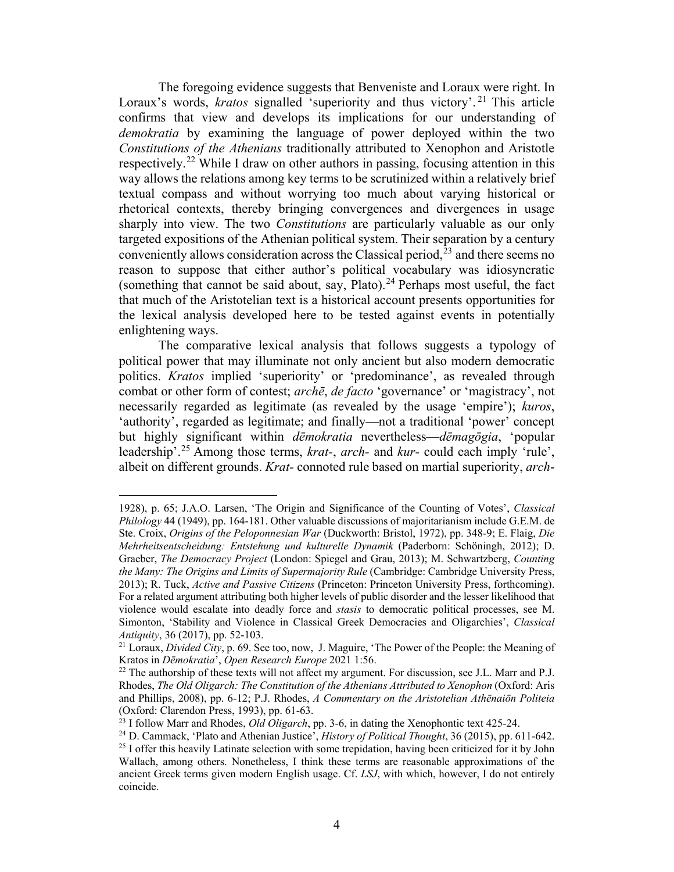The foregoing evidence suggests that Benveniste and Loraux were right. In Loraux's words, *kratos* signalled 'superiority and thus victory'.<sup>[21](#page-3-0)</sup> This article confirms that view and develops its implications for our understanding of *demokratia* by examining the language of power deployed within the two *Constitutions of the Athenians* traditionally attributed to Xenophon and Aristotle respectively.<sup>[22](#page-3-1)</sup> While I draw on other authors in passing, focusing attention in this way allows the relations among key terms to be scrutinized within a relatively brief textual compass and without worrying too much about varying historical or rhetorical contexts, thereby bringing convergences and divergences in usage sharply into view. The two *Constitutions* are particularly valuable as our only targeted expositions of the Athenian political system. Their separation by a century conveniently allows consideration across the Classical period, $2<sup>3</sup>$  and there seems no reason to suppose that either author's political vocabulary was idiosyncratic (something that cannot be said about, say, Plato).<sup>24</sup> Perhaps most useful, the fact that much of the Aristotelian text is a historical account presents opportunities for the lexical analysis developed here to be tested against events in potentially enlightening ways.

The comparative lexical analysis that follows suggests a typology of political power that may illuminate not only ancient but also modern democratic politics. *Kratos* implied 'superiority' or 'predominance', as revealed through combat or other form of contest; *archē*, *de facto* 'governance' or 'magistracy', not necessarily regarded as legitimate (as revealed by the usage 'empire'); *kuros*, 'authority', regarded as legitimate; and finally—not a traditional 'power' concept but highly significant within *dēmokratia* nevertheless—*dēmagōgia*, 'popular leadership'.[25](#page-3-4) Among those terms, *krat-*, *arch-* and *kur-* could each imply 'rule', albeit on different grounds. *Krat-* connoted rule based on martial superiority, *arch*-

<sup>1928),</sup> p. 65; J.A.O. Larsen, 'The Origin and Significance of the Counting of Votes', *Classical Philology* 44 (1949), pp. 164-181. Other valuable discussions of majoritarianism include G.E.M. de Ste. Croix, *Origins of the Peloponnesian War* (Duckworth: Bristol, 1972), pp. 348-9; E. Flaig, *Die Mehrheitsentscheidung: Entstehung und kulturelle Dynamik* (Paderborn: Schöningh, 2012); D. Graeber, *The Democracy Project* (London: Spiegel and Grau, 2013); M. Schwartzberg, *Counting the Many: The Origins and Limits of Supermajority Rule* (Cambridge: Cambridge University Press, 2013); R. Tuck, *Active and Passive Citizens* (Princeton: Princeton University Press, forthcoming). For a related argument attributing both higher levels of public disorder and the lesser likelihood that violence would escalate into deadly force and *stasis* to democratic political processes, see M. Simonton, 'Stability and Violence in Classical Greek Democracies and Oligarchies', *Classical Antiquity*, 36 (2017), pp. 52-103.

<span id="page-3-0"></span><sup>&</sup>lt;sup>21</sup> Loraux, *Divided City*, p. 69. See too, now, J. Maguire, 'The Power of the People: the Meaning of Kratos in *Dēmokratia'*, *Open Research Europe* 2021 1:56.

<span id="page-3-1"></span><sup>&</sup>lt;sup>22</sup> The authorship of these texts will not affect my argument. For discussion, see J.L. Marr and P.J. Rhodes, *The Old Oligarch: The Constitution of the Athenians Attributed to Xenophon* (Oxford: Aris and Phillips, 2008), pp. 6-12; P.J. Rhodes, *A Commentary on the Aristotelian Athēnaiōn Politeia*

<span id="page-3-4"></span><span id="page-3-3"></span>

<span id="page-3-2"></span><sup>(</sup>Oxford: Clarendon Press, 1993), pp. 61-63.<br><sup>23</sup> I follow Marr and Rhodes, *Old Oligarch*, pp. 3-6, in dating the Xenophontic text 425-24.<br><sup>24</sup> D. Cammack, 'Plato and Athenian Justice', *History of Political Thought*, 36 Wallach, among others. Nonetheless, I think these terms are reasonable approximations of the ancient Greek terms given modern English usage. Cf. *LSJ*, with which, however, I do not entirely coincide.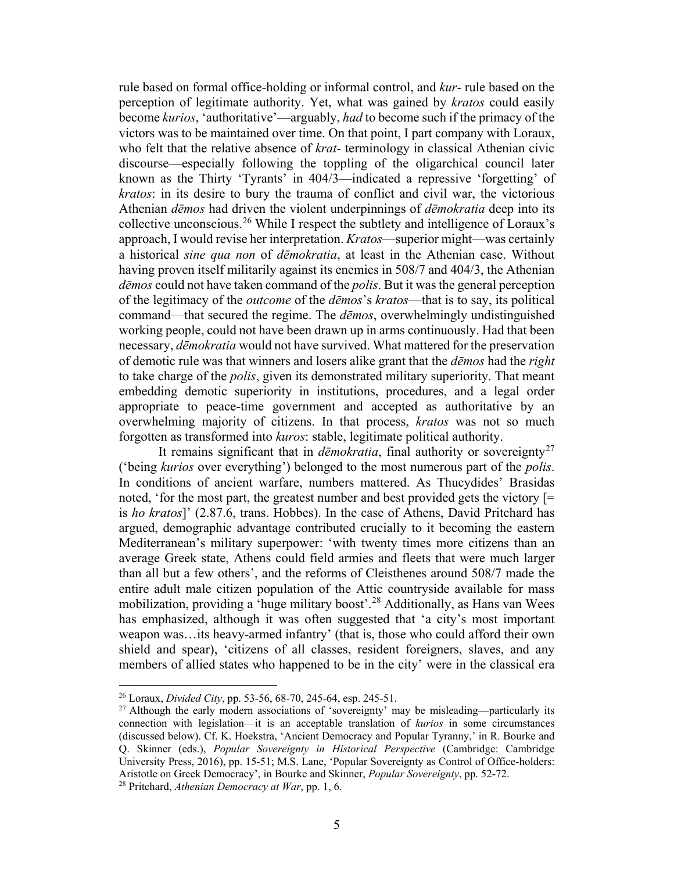rule based on formal office-holding or informal control, and *kur*- rule based on the perception of legitimate authority. Yet, what was gained by *kratos* could easily become *kurios*, 'authoritative'—arguably, *had* to become such if the primacy of the victors was to be maintained over time. On that point, I part company with Loraux, who felt that the relative absence of *krat*- terminology in classical Athenian civic discourse—especially following the toppling of the oligarchical council later known as the Thirty 'Tyrants' in 404/3—indicated a repressive 'forgetting' of *kratos*: in its desire to bury the trauma of conflict and civil war, the victorious Athenian *dēmos* had driven the violent underpinnings of *dēmokratia* deep into its collective unconscious.[26](#page-4-0) While I respect the subtlety and intelligence of Loraux's approach, I would revise her interpretation. *Kratos*—superior might—was certainly a historical *sine qua non* of *dēmokratia*, at least in the Athenian case. Without having proven itself militarily against its enemies in 508/7 and 404/3, the Athenian *dēmos* could not have taken command of the *polis*. But it was the general perception of the legitimacy of the *outcome* of the *dēmos*'s *kratos*—that is to say, its political command—that secured the regime. The *dēmos*, overwhelmingly undistinguished working people, could not have been drawn up in arms continuously. Had that been necessary, *dēmokratia* would not have survived. What mattered for the preservation of demotic rule was that winners and losers alike grant that the *dēmos* had the *right* to take charge of the *polis*, given its demonstrated military superiority. That meant embedding demotic superiority in institutions, procedures, and a legal order appropriate to peace-time government and accepted as authoritative by an overwhelming majority of citizens. In that process, *kratos* was not so much forgotten as transformed into *kuros*: stable, legitimate political authority.

It remains significant that in *dēmokratia*, final authority or sovereignty<sup>[27](#page-4-1)</sup> ('being *kurios* over everything') belonged to the most numerous part of the *polis*. In conditions of ancient warfare, numbers mattered. As Thucydides' Brasidas noted, 'for the most part, the greatest number and best provided gets the victory [= is *ho kratos*]' (2.87.6, trans. Hobbes). In the case of Athens, David Pritchard has argued, demographic advantage contributed crucially to it becoming the eastern Mediterranean's military superpower: 'with twenty times more citizens than an average Greek state, Athens could field armies and fleets that were much larger than all but a few others', and the reforms of Cleisthenes around 508/7 made the entire adult male citizen population of the Attic countryside available for mass mobilization, providing a 'huge military boost'.[28](#page-4-2) Additionally, as Hans van Wees has emphasized, although it was often suggested that 'a city's most important weapon was…its heavy-armed infantry' (that is, those who could afford their own shield and spear), 'citizens of all classes, resident foreigners, slaves, and any members of allied states who happened to be in the city' were in the classical era

<span id="page-4-1"></span><span id="page-4-0"></span><sup>&</sup>lt;sup>26</sup> Loraux, *Divided City*, pp. 53-56, 68-70, 245-64, esp. 245-51.<br><sup>27</sup> Although the early modern associations of 'sovereignty' may be misleading—particularly its connection with legislation—it is an acceptable translation of *kurios* in some circumstances (discussed below). Cf. K. Hoekstra, 'Ancient Democracy and Popular Tyranny,' in R. Bourke and Q. Skinner (eds.), *Popular Sovereignty in Historical Perspective* (Cambridge: Cambridge University Press, 2016), pp. 15-51; M.S. Lane, 'Popular Sovereignty as Control of Office-holders: Aristotle on Greek Democracy', in Bourke and Skinner, *Popular Sovereignty*, pp. 52-72. 28 Pritchard, *Athenian Democracy at War*, pp. 1, 6.

<span id="page-4-2"></span>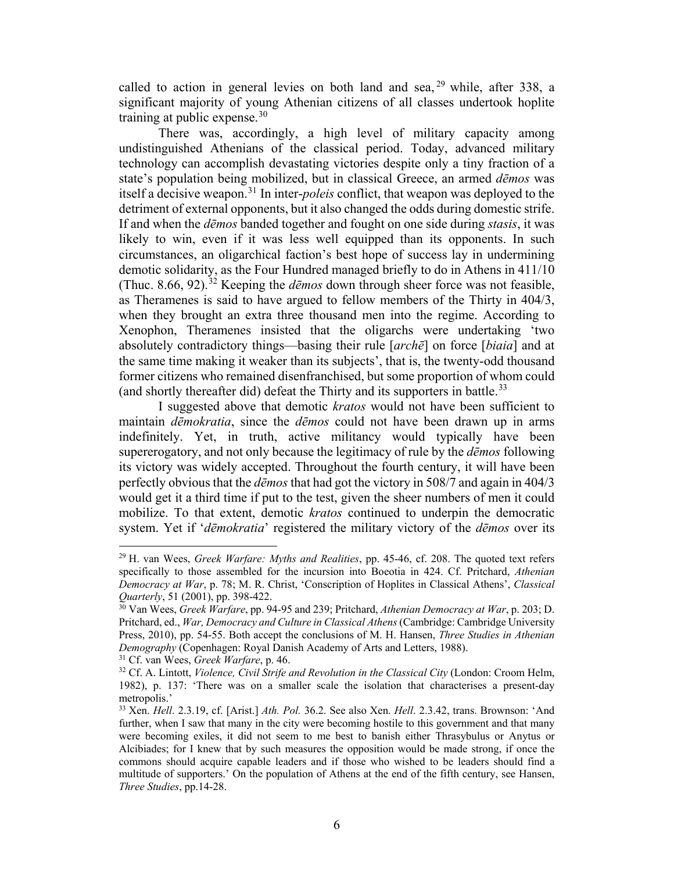called to action in general levies on both land and sea,  $29$  while, after 338, a significant majority of young Athenian citizens of all classes undertook hoplite training at public expense.  $30$ 

There was, accordingly, a high level of military capacity among undistinguished Athenians of the classical period. Today, advanced military technology can accomplish devastating victories despite only a tiny fraction of a state's population being mobilized, but in classical Greece, an armed *dēmos* was itself a decisive weapon.[31](#page-5-2) In inter-*poleis* conflict, that weapon was deployed to the detriment of external opponents, but it also changed the odds during domestic strife. If and when the *dēmos* banded together and fought on one side during *stasis*, it was likely to win, even if it was less well equipped than its opponents. In such circumstances, an oligarchical faction's best hope of success lay in undermining demotic solidarity, as the Four Hundred managed briefly to do in Athens in 411/10 (Thuc. 8.66, 92). [32](#page-5-3) Keeping the *dēmos* down through sheer force was not feasible, as Theramenes is said to have argued to fellow members of the Thirty in 404/3, when they brought an extra three thousand men into the regime. According to Xenophon, Theramenes insisted that the oligarchs were undertaking 'two absolutely contradictory things—basing their rule [*archē*] on force [*biaia*] and at the same time making it weaker than its subjects', that is, the twenty-odd thousand former citizens who remained disenfranchised, but some proportion of whom could (and shortly thereafter did) defeat the Thirty and its supporters in battle.<sup>[33](#page-5-4)</sup>

I suggested above that demotic *kratos* would not have been sufficient to maintain *dēmokratia*, since the *dēmos* could not have been drawn up in arms indefinitely. Yet, in truth, active militancy would typically have been supererogatory, and not only because the legitimacy of rule by the *dēmos* following its victory was widely accepted. Throughout the fourth century, it will have been perfectly obvious that the *dēmos* that had got the victory in 508/7 and again in 404/3 would get it a third time if put to the test, given the sheer numbers of men it could mobilize. To that extent, demotic *kratos* continued to underpin the democratic system. Yet if '*dēmokratia*' registered the military victory of the *dēmos* over its

<span id="page-5-0"></span><sup>29</sup> H. van Wees, *Greek Warfare: Myths and Realities*, pp. 45-46, cf. 208. The quoted text refers specifically to those assembled for the incursion into Boeotia in 424. Cf. Pritchard, *Athenian Democracy at War*, p. 78; M. R. Christ, 'Conscription of Hoplites in Classical Athens', *Classical Quarterly*, 51 (2001), pp. 398-422.

<span id="page-5-1"></span><sup>30</sup> Van Wees, *Greek Warfare*, pp. 94-95 and 239; Pritchard, *Athenian Democracy at War*, p. 203; D. Pritchard, ed., *War, Democracy and Culture in Classical Athens* (Cambridge: Cambridge University Press, 2010), pp. 54-55. Both accept the conclusions of M. H. Hansen, *Three Studies in Athenian* 

<span id="page-5-3"></span><span id="page-5-2"></span><sup>&</sup>lt;sup>31</sup> Cf. van Wees, *Greek Warfare*, p. 46.<br><sup>32</sup> Cf. A. Lintott, *Violence, Civil Strife and Revolution in the Classical City* (London: Croom Helm, 1982), p. 137: 'There was on a smaller scale the isolation that characterises a present-day metropolis.'

<span id="page-5-4"></span><sup>33</sup> Xen. *Hell*. 2.3.19, cf. [Arist.] *Ath. Pol.* 36.2. See also Xen. *Hell*. 2.3.42, trans. Brownson: 'And further, when I saw that many in the city were becoming hostile to this government and that many were becoming exiles, it did not seem to me best to banish either Thrasybulus or Anytus or Alcibiades; for I knew that by such measures the opposition would be made strong, if once the commons should acquire capable leaders and if those who wished to be leaders should find a multitude of supporters.' On the population of Athens at the end of the fifth century, see Hansen, *Three Studies*, pp.14-28.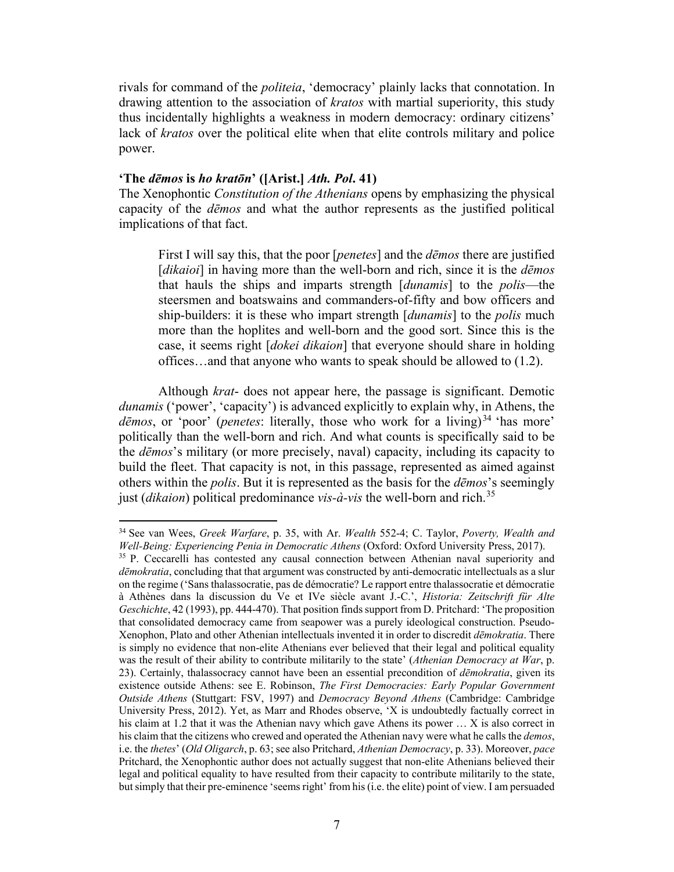rivals for command of the *politeia*, 'democracy' plainly lacks that connotation. In drawing attention to the association of *kratos* with martial superiority, this study thus incidentally highlights a weakness in modern democracy: ordinary citizens' lack of *kratos* over the political elite when that elite controls military and police power.

### **'The** *dēmos* **is** *ho kratōn***' ([Arist.]** *Ath. Pol***. 41)**

 $\overline{a}$ 

The Xenophontic *Constitution of the Athenians* opens by emphasizing the physical capacity of the *dēmos* and what the author represents as the justified political implications of that fact.

First I will say this, that the poor [*penetes*] and the *dēmos* there are justified [*dikaioi*] in having more than the well-born and rich, since it is the *dēmos* that hauls the ships and imparts strength [*dunamis*] to the *polis*—the steersmen and boatswains and commanders-of-fifty and bow officers and ship-builders: it is these who impart strength [*dunamis*] to the *polis* much more than the hoplites and well-born and the good sort. Since this is the case, it seems right [*dokei dikaion*] that everyone should share in holding offices…and that anyone who wants to speak should be allowed to (1.2).

Although *krat*- does not appear here, the passage is significant. Demotic *dunamis* ('power', 'capacity') is advanced explicitly to explain why, in Athens, the *dēmos*, or 'poor' (*penetes*: literally, those who work for a living) [34](#page-6-0) 'has more' politically than the well-born and rich. And what counts is specifically said to be the *dēmos*'s military (or more precisely, naval) capacity, including its capacity to build the fleet. That capacity is not, in this passage, represented as aimed against others within the *polis*. But it is represented as the basis for the *dēmos*'s seemingly just (*dikaion*) political predominance *vis-à-vis* the well-born and rich.[35](#page-6-1)

<span id="page-6-0"></span><sup>34</sup> See van Wees, *Greek Warfare*, p. 35, with Ar. *Wealth* 552-4; C. Taylor, *Poverty, Wealth and* 

<span id="page-6-1"></span><sup>&</sup>lt;sup>35</sup> P. Ceccarelli has contested any causal connection between Athenian naval superiority and *dēmokratia*, concluding that that argument was constructed by anti-democratic intellectuals as a slur on the regime ('Sans thalassocratie, pas de démocratie? Le rapport entre thalassocratie et démocratie à Athènes dans la discussion du Ve et IVe siècle avant J.-C.', *Historia: Zeitschrift für Alte Geschichte*, 42 (1993), pp. 444-470). That position finds support from D. Pritchard: 'The proposition that consolidated democracy came from seapower was a purely ideological construction. Pseudo-Xenophon, Plato and other Athenian intellectuals invented it in order to discredit *dēmokratia*. There is simply no evidence that non-elite Athenians ever believed that their legal and political equality was the result of their ability to contribute militarily to the state' (*Athenian Democracy at War*, p. 23). Certainly, thalassocracy cannot have been an essential precondition of *dēmokratia*, given its existence outside Athens: see E. Robinson, *The First Democracies: Early Popular Government Outside Athens* (Stuttgart: FSV, 1997) and *Democracy Beyond Athens* (Cambridge: Cambridge University Press, 2012). Yet, as Marr and Rhodes observe, 'X is undoubtedly factually correct in his claim at 1.2 that it was the Athenian navy which gave Athens its power ... X is also correct in his claim that the citizens who crewed and operated the Athenian navy were what he calls the *demos*, i.e. the *thetes*' (*Old Oligarch*, p. 63; see also Pritchard, *Athenian Democracy*, p. 33). Moreover, *pace* Pritchard, the Xenophontic author does not actually suggest that non-elite Athenians believed their legal and political equality to have resulted from their capacity to contribute militarily to the state, but simply that their pre-eminence 'seems right' from his (i.e. the elite) point of view. I am persuaded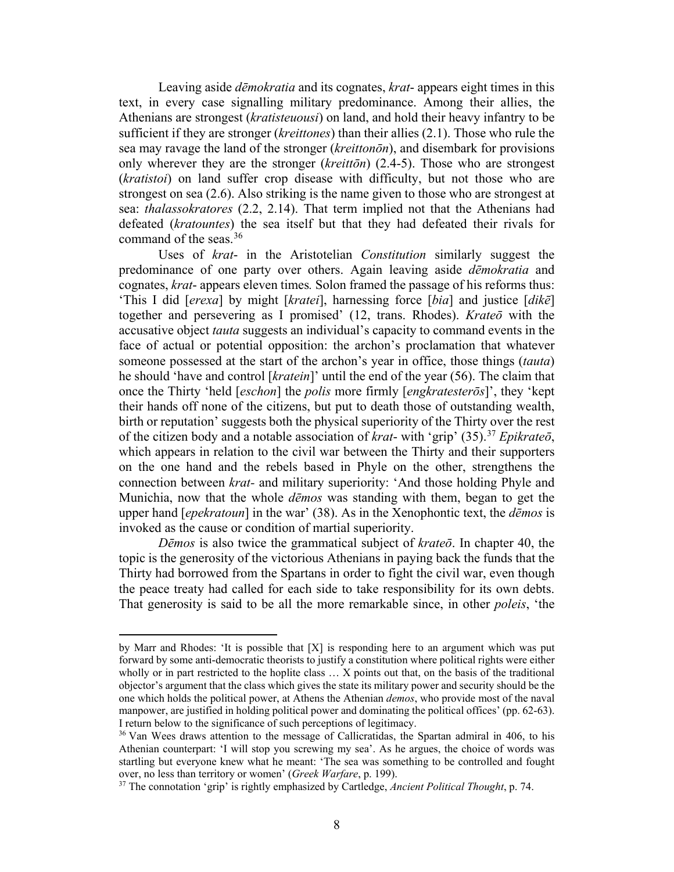Leaving aside *dēmokratia* and its cognates, *krat*- appears eight times in this text, in every case signalling military predominance. Among their allies, the Athenians are strongest (*kratisteuousi*) on land, and hold their heavy infantry to be sufficient if they are stronger (*kreittones*) than their allies (2.1). Those who rule the sea may ravage the land of the stronger (*kreittonōn*), and disembark for provisions only wherever they are the stronger (*kreittōn*) (2.4-5). Those who are strongest (*kratistoi*) on land suffer crop disease with difficulty, but not those who are strongest on sea (2.6). Also striking is the name given to those who are strongest at sea: *thalassokratores* (2.2, 2.14). That term implied not that the Athenians had defeated (*kratountes*) the sea itself but that they had defeated their rivals for command of the seas.<sup>[36](#page-7-0)</sup>

Uses of *krat*- in the Aristotelian *Constitution* similarly suggest the predominance of one party over others. Again leaving aside *dēmokratia* and cognates, *krat*- appears eleven times*.* Solon framed the passage of his reforms thus: 'This I did [*erexa*] by might [*kratei*], harnessing force [*bia*] and justice [*dikē*] together and persevering as I promised' (12, trans. Rhodes). *Krateō* with the accusative object *tauta* suggests an individual's capacity to command events in the face of actual or potential opposition: the archon's proclamation that whatever someone possessed at the start of the archon's year in office, those things (*tauta*) he should 'have and control [*kratein*]' until the end of the year (56). The claim that once the Thirty 'held [*eschon*] the *polis* more firmly [*engkratesterōs*]', they 'kept their hands off none of the citizens, but put to death those of outstanding wealth, birth or reputation' suggests both the physical superiority of the Thirty over the rest of the citizen body and a notable association of *krat*- with 'grip' (35).[37](#page-7-1) *Epikrateō*, which appears in relation to the civil war between the Thirty and their supporters on the one hand and the rebels based in Phyle on the other, strengthens the connection between *krat-* and military superiority: 'And those holding Phyle and Munichia, now that the whole *dēmos* was standing with them, began to get the upper hand [*epekratoun*] in the war' (38). As in the Xenophontic text, the *dēmos* is invoked as the cause or condition of martial superiority.

*Dēmos* is also twice the grammatical subject of *krateō*. In chapter 40, the topic is the generosity of the victorious Athenians in paying back the funds that the Thirty had borrowed from the Spartans in order to fight the civil war, even though the peace treaty had called for each side to take responsibility for its own debts. That generosity is said to be all the more remarkable since, in other *poleis*, 'the

by Marr and Rhodes: 'It is possible that [X] is responding here to an argument which was put forward by some anti-democratic theorists to justify a constitution where political rights were either wholly or in part restricted to the hoplite class ... X points out that, on the basis of the traditional objector's argument that the class which gives the state its military power and security should be the one which holds the political power, at Athens the Athenian *demos*, who provide most of the naval manpower, are justified in holding political power and dominating the political offices' (pp. 62-63). I return below to the significance of such perceptions of legitimacy.

<span id="page-7-0"></span><sup>&</sup>lt;sup>36</sup> Van Wees draws attention to the message of Callicratidas, the Spartan admiral in 406, to his Athenian counterpart: 'I will stop you screwing my sea'. As he argues, the choice of words was startling but everyone knew what he meant: 'The sea was something to be controlled and fought over, no less than territory or women' (*Greek Warfare*, p. 199).

<span id="page-7-1"></span><sup>37</sup> The connotation 'grip' is rightly emphasized by Cartledge, *Ancient Political Thought*, p. 74.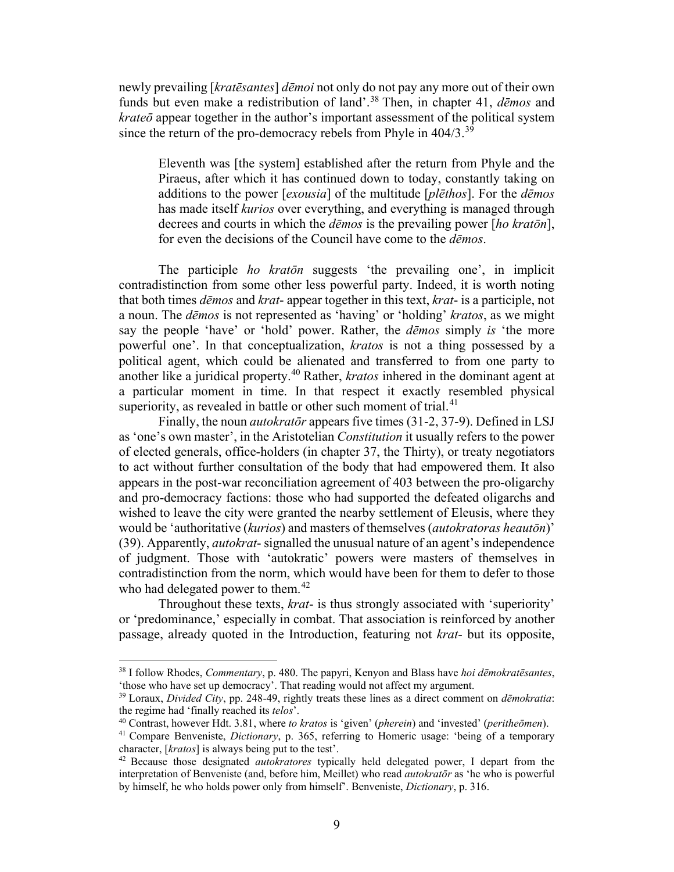newly prevailing [*kratēsantes*] *dēmoi* not only do not pay any more out of their own funds but even make a redistribution of land'.[38](#page-8-0) Then, in chapter 41, *dēmos* and *krateō* appear together in the author's important assessment of the political system since the return of the pro-democracy rebels from Phyle in  $404/3$ .<sup>[39](#page-8-1)</sup>

Eleventh was [the system] established after the return from Phyle and the Piraeus, after which it has continued down to today, constantly taking on additions to the power [*exousia*] of the multitude [*plēthos*]. For the *dēmos* has made itself *kurios* over everything, and everything is managed through decrees and courts in which the *dēmos* is the prevailing power [*ho kratōn*], for even the decisions of the Council have come to the *dēmos*.

The participle *ho kratōn* suggests 'the prevailing one', in implicit contradistinction from some other less powerful party. Indeed, it is worth noting that both times *dēmos* and *krat*- appear together in this text, *krat*- is a participle, not a noun. The *dēmos* is not represented as 'having' or 'holding' *kratos*, as we might say the people 'have' or 'hold' power. Rather, the *dēmos* simply *is* 'the more powerful one'. In that conceptualization, *kratos* is not a thing possessed by a political agent, which could be alienated and transferred to from one party to another like a juridical property.[40](#page-8-2) Rather, *kratos* inhered in the dominant agent at a particular moment in time. In that respect it exactly resembled physical superiority, as revealed in battle or other such moment of trial. $41$ 

Finally, the noun *autokratōr* appears five times (31-2, 37-9). Defined in LSJ as 'one's own master', in the Aristotelian *Constitution* it usually refers to the power of elected generals, office-holders (in chapter 37, the Thirty), or treaty negotiators to act without further consultation of the body that had empowered them. It also appears in the post-war reconciliation agreement of 403 between the pro-oligarchy and pro-democracy factions: those who had supported the defeated oligarchs and wished to leave the city were granted the nearby settlement of Eleusis, where they would be 'authoritative (*kurios*) and masters of themselves (*autokratoras heautōn*)' (39). Apparently, *autokrat*- signalled the unusual nature of an agent's independence of judgment. Those with 'autokratic' powers were masters of themselves in contradistinction from the norm, which would have been for them to defer to those who had delegated power to them.<sup>[42](#page-8-4)</sup>

Throughout these texts, *krat*- is thus strongly associated with 'superiority' or 'predominance,' especially in combat. That association is reinforced by another passage, already quoted in the Introduction, featuring not *krat*- but its opposite,

<span id="page-8-0"></span><sup>38</sup> I follow Rhodes, *Commentary*, p. 480. The papyri, Kenyon and Blass have *hoi dēmokratēsantes*,

<span id="page-8-1"></span><sup>&</sup>lt;sup>39</sup> Loraux, *Divided City*, pp. 248-49, rightly treats these lines as a direct comment on *dēmokratia*: the regime had 'finally reached its *telos*'.

<span id="page-8-2"></span>the regime had 'finally reached its *telos*'. 40 Contrast, however Hdt. 3.81, where *to kratos* is 'given' (*pherein*) and 'invested' (*peritheōmen*).

<span id="page-8-3"></span><sup>41</sup> Compare Benveniste, *Dictionary*, p. 365, referring to Homeric usage: 'being of a temporary character, [*kratos*] is always being put to the test'. 42 Because those designated *autokratores* typically held delegated power, I depart from the

<span id="page-8-4"></span>interpretation of Benveniste (and, before him, Meillet) who read *autokratōr* as 'he who is powerful by himself, he who holds power only from himself'. Benveniste, *Dictionary*, p. 316.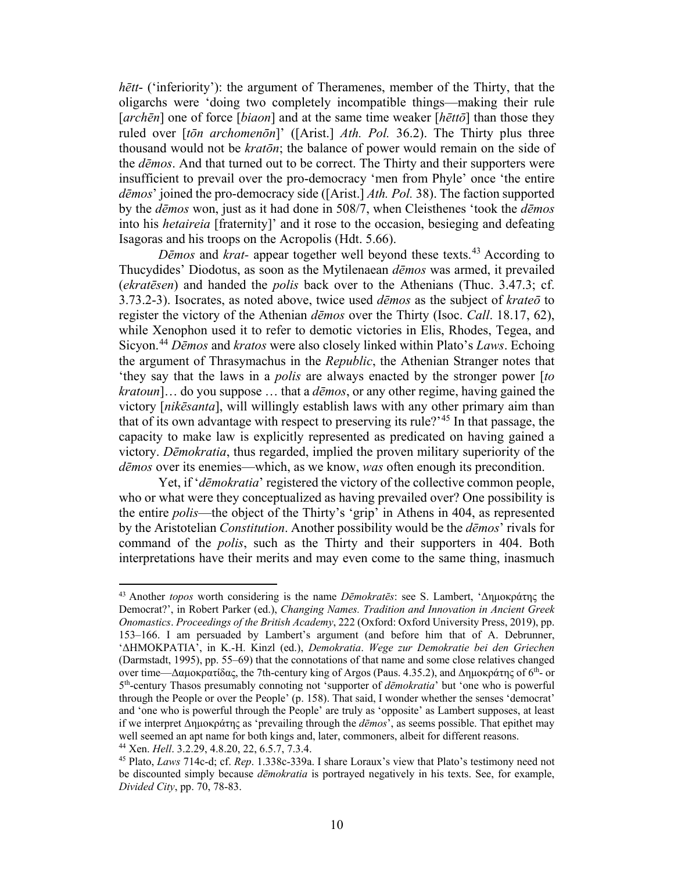*hētt*- ('inferiority'): the argument of Theramenes, member of the Thirty, that the oligarchs were 'doing two completely incompatible things—making their rule [*archēn*] one of force [*biaon*] and at the same time weaker [*hēttō*] than those they ruled over [*tōn archomenōn*]' ([Arist.] *Ath. Pol.* 36.2). The Thirty plus three thousand would not be *kratōn*; the balance of power would remain on the side of the *dēmos*. And that turned out to be correct. The Thirty and their supporters were insufficient to prevail over the pro-democracy 'men from Phyle' once 'the entire *dēmos*' joined the pro-democracy side ([Arist.] *Ath. Pol.* 38). The faction supported by the *dēmos* won, just as it had done in 508/7, when Cleisthenes 'took the *dēmos* into his *hetaireia* [fraternity]' and it rose to the occasion, besieging and defeating Isagoras and his troops on the Acropolis (Hdt. 5.66).

*Dēmos* and *krat-* appear together well beyond these texts.[43](#page-9-0) According to Thucydides' Diodotus, as soon as the Mytilenaean *dēmos* was armed, it prevailed (*ekratēsen*) and handed the *polis* back over to the Athenians (Thuc. 3.47.3; cf. 3.73.2-3). Isocrates, as noted above, twice used *dēmos* as the subject of *krateō* to register the victory of the Athenian *dēmos* over the Thirty (Isoc. *Call*. 18.17, 62), while Xenophon used it to refer to demotic victories in Elis, Rhodes, Tegea, and Sicyon.[44](#page-9-1) *Dēmos* and *kratos* were also closely linked within Plato's *Laws*. Echoing the argument of Thrasymachus in the *Republic*, the Athenian Stranger notes that 'they say that the laws in a *polis* are always enacted by the stronger power [*to kratoun*]… do you suppose … that a *dēmos*, or any other regime, having gained the victory [*nikēsanta*], will willingly establish laws with any other primary aim than that of its own advantage with respect to preserving its rule?<sup>[45](#page-9-2)</sup> In that passage, the capacity to make law is explicitly represented as predicated on having gained a victory. *Dēmokratia*, thus regarded, implied the proven military superiority of the *dēmos* over its enemies—which, as we know, *was* often enough its precondition.

Yet, if '*dēmokratia*' registered the victory of the collective common people, who or what were they conceptualized as having prevailed over? One possibility is the entire *polis*—the object of the Thirty's 'grip' in Athens in 404, as represented by the Aristotelian *Constitution*. Another possibility would be the *dēmos*' rivals for command of the *polis*, such as the Thirty and their supporters in 404. Both interpretations have their merits and may even come to the same thing, inasmuch

<span id="page-9-0"></span><sup>43</sup> Another *topos* worth considering is the name *Dēmokratēs*: see S. Lambert, 'Δημοκράτης the Democrat?', in Robert Parker (ed.), *Changing Names. Tradition and Innovation in Ancient Greek Onomastics*. *Proceedings of the British Academy*, 222 (Oxford: Oxford University Press, 2019), pp. 153–166. I am persuaded by Lambert's argument (and before him that of A. Debrunner, 'ΔΗΜΟΚΡΑΤΙΑ', in K.-H. Kinzl (ed.), *Demokratia*. *Wege zur Demokratie bei den Griechen* (Darmstadt, 1995), pp. 55–69) that the connotations of that name and some close relatives changed over time—Δαμοκρατίδας, the 7th-century king of Argos (Paus. 4.35.2), and Δημοκράτης of 6th- or 5th-century Thasos presumably connoting not 'supporter of *dēmokratia*' but 'one who is powerful through the People or over the People' (p. 158). That said, I wonder whether the senses 'democrat' and 'one who is powerful through the People' are truly as 'opposite' as Lambert supposes, at least if we interpret Δημοκράτης as 'prevailing through the *dēmos*', as seems possible. That epithet may well seemed an apt name for both kings and, later, commoners, albeit for different reasons.<br><sup>44</sup> Xen. *Hell*. 3.2.29, 4.8.20, 22, 6.5.7, 7.3.4.<br><sup>45</sup> Plato, *Laws* 714c-d; cf. *Rep.* 1.338c-339a. I share Loraux's view that

<span id="page-9-2"></span><span id="page-9-1"></span>

be discounted simply because *dēmokratia* is portrayed negatively in his texts. See, for example, *Divided City*, pp. 70, 78-83.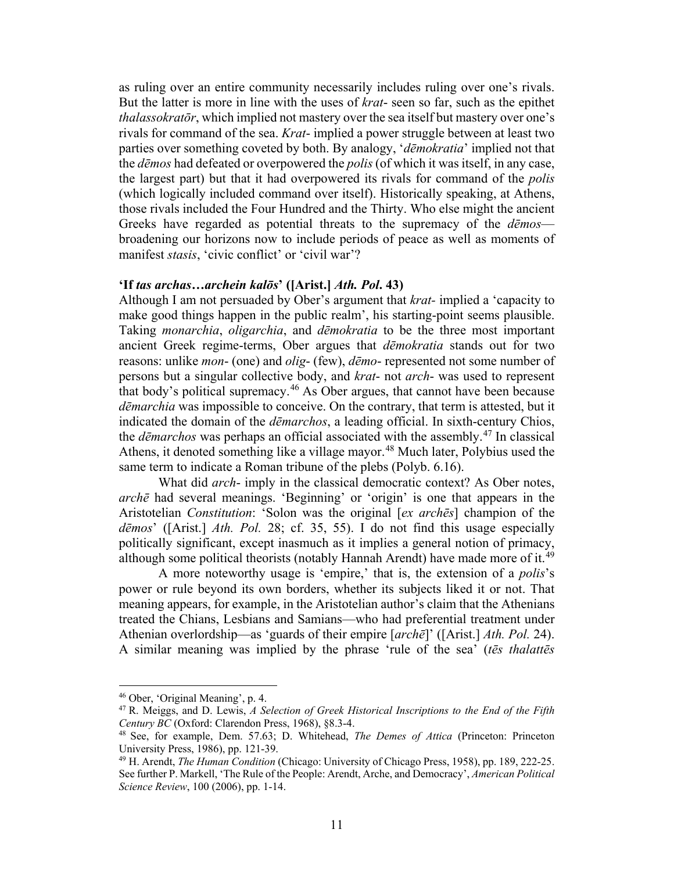as ruling over an entire community necessarily includes ruling over one's rivals. But the latter is more in line with the uses of *krat*- seen so far, such as the epithet *thalassokratōr*, which implied not mastery over the sea itself but mastery over one's rivals for command of the sea. *Krat*- implied a power struggle between at least two parties over something coveted by both. By analogy, '*dēmokratia*' implied not that the *dēmos* had defeated or overpowered the *polis* (of which it was itself, in any case, the largest part) but that it had overpowered its rivals for command of the *polis* (which logically included command over itself). Historically speaking, at Athens, those rivals included the Four Hundred and the Thirty. Who else might the ancient Greeks have regarded as potential threats to the supremacy of the *dēmos* broadening our horizons now to include periods of peace as well as moments of manifest *stasis*, 'civic conflict' or 'civil war'?

# **'If** *tas archas…archein kalōs***' ([Arist.]** *Ath. Pol***. 43)**

Although I am not persuaded by Ober's argument that *krat-* implied a 'capacity to make good things happen in the public realm', his starting-point seems plausible. Taking *monarchia*, *oligarchia*, and *dēmokratia* to be the three most important ancient Greek regime-terms, Ober argues that *dēmokratia* stands out for two reasons: unlike *mon*- (one) and *olig*- (few), *dēmo*- represented not some number of persons but a singular collective body, and *krat*- not *arch*- was used to represent that body's political supremacy.<sup>[46](#page-10-0)</sup> As Ober argues, that cannot have been because *dēmarchia* was impossible to conceive. On the contrary, that term is attested, but it indicated the domain of the *dēmarchos*, a leading official. In sixth-century Chios, the *dēmarchos* was perhaps an official associated with the assembly.[47](#page-10-1) In classical Athens, it denoted something like a village mayor.<sup>[48](#page-10-2)</sup> Much later, Polybius used the same term to indicate a Roman tribune of the plebs (Polyb. 6.16).

What did *arch*- imply in the classical democratic context? As Ober notes, *archē* had several meanings. 'Beginning' or 'origin' is one that appears in the Aristotelian *Constitution*: 'Solon was the original [*ex archēs*] champion of the *dēmos*' ([Arist.] *Ath. Pol.* 28; cf. 35, 55). I do not find this usage especially politically significant, except inasmuch as it implies a general notion of primacy, although some political theorists (notably Hannah Arendt) have made more of it.<sup>[49](#page-10-3)</sup>

A more noteworthy usage is 'empire,' that is, the extension of a *polis*'s power or rule beyond its own borders, whether its subjects liked it or not. That meaning appears, for example, in the Aristotelian author's claim that the Athenians treated the Chians, Lesbians and Samians—who had preferential treatment under Athenian overlordship—as 'guards of their empire [*archē*]' ([Arist.] *Ath. Pol.* 24). A similar meaning was implied by the phrase 'rule of the sea' (*tēs thalattēs* 

<span id="page-10-1"></span><span id="page-10-0"></span><sup>&</sup>lt;sup>46</sup> Ober, 'Original Meaning', p. 4.<br><sup>47</sup> R. Meiggs, and D. Lewis, *A Selection of Greek Historical Inscriptions to the End of the Fifth Century BC (Oxford: Clarendon Press, 1968), §8.3-4.* 

<span id="page-10-2"></span><sup>&</sup>lt;sup>48</sup> See, for example, Dem. 57.63; D. Whitehead, *The Demes of Attica* (Princeton: Princeton University Press, 1986), pp. 121-39.<br><sup>49</sup> H. Arendt, *The Human Condition* (Chicago: University of Chicago Press, 1958), pp. 189, 222-25.

<span id="page-10-3"></span>See further P. Markell, 'The Rule of the People: Arendt, Arche, and Democracy', *American Political Science Review*, 100 (2006), pp. 1-14.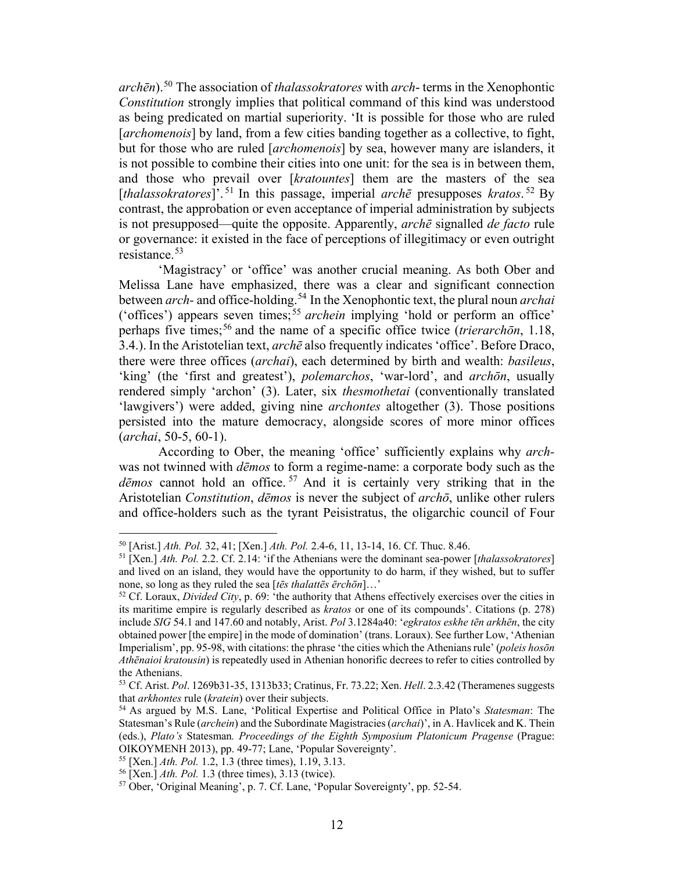*archēn*).[50](#page-11-0) The association of *thalassokratores* with *arch*- terms in the Xenophontic *Constitution* strongly implies that political command of this kind was understood as being predicated on martial superiority. 'It is possible for those who are ruled [*archomenois*] by land, from a few cities banding together as a collective, to fight, but for those who are ruled [*archomenois*] by sea, however many are islanders, it is not possible to combine their cities into one unit: for the sea is in between them, and those who prevail over [*kratountes*] them are the masters of the sea [*thalassokratores*]'. [51](#page-11-1) In this passage, imperial *archē* presupposes *kratos*. [52](#page-11-2) By contrast, the approbation or even acceptance of imperial administration by subjects is not presupposed—quite the opposite. Apparently, *archē* signalled *de facto* rule or governance: it existed in the face of perceptions of illegitimacy or even outright resistance.[53](#page-11-3)

'Magistracy' or 'office' was another crucial meaning. As both Ober and Melissa Lane have emphasized, there was a clear and significant connection between *arch-* and office-holding.[54](#page-11-4) In the Xenophontic text, the plural noun *archai* ('offices') appears seven times; [55](#page-11-5) *archein* implying 'hold or perform an office' perhaps five times; [56](#page-11-6) and the name of a specific office twice (*trierarchōn*, 1.18, 3.4.). In the Aristotelian text, *archē* also frequently indicates 'office'. Before Draco, there were three offices (*archai*), each determined by birth and wealth: *basileus*, 'king' (the 'first and greatest'), *polemarchos*, 'war-lord', and *archōn*, usually rendered simply 'archon' (3). Later, six *thesmothetai* (conventionally translated 'lawgivers') were added, giving nine *archontes* altogether (3). Those positions persisted into the mature democracy, alongside scores of more minor offices (*archai*, 50-5, 60-1).

According to Ober, the meaning 'office' sufficiently explains why *arch*was not twinned with *dēmos* to form a regime-name: a corporate body such as the dēmos cannot hold an office.<sup>[57](#page-11-7)</sup> And it is certainly very striking that in the Aristotelian *Constitution*, *dēmos* is never the subject of *archō*, unlike other rulers and office-holders such as the tyrant Peisistratus, the oligarchic council of Four

<span id="page-11-0"></span><sup>50</sup> [Arist.] *Ath. Pol.* 32, 41; [Xen.] *Ath. Pol.* 2.4-6, 11, 13-14, 16. Cf. Thuc. 8.46.

<span id="page-11-1"></span><sup>51</sup> [Xen.] *Ath. Pol.* 2.2. Cf. 2.14: 'if the Athenians were the dominant sea-power [*thalassokratores*] and lived on an island, they would have the opportunity to do harm, if they wished, but to suffer none, so long as they ruled the sea [*tēs thalattēs ērchōn*]…'

<span id="page-11-2"></span><sup>52</sup> Cf. Loraux, *Divided City*, p. 69: 'the authority that Athens effectively exercises over the cities in its maritime empire is regularly described as *kratos* or one of its compounds'. Citations (p. 278) include *SIG* 54.1 and 147.60 and notably, Arist. *Pol* 3.1284a40: '*egkratos eskhe tēn arkhēn*, the city obtained power [the empire] in the mode of domination' (trans. Loraux). See further Low, 'Athenian Imperialism', pp. 95-98, with citations: the phrase 'the cities which the Athenians rule' (*poleis hosōn Athēnaioi kratousin*) is repeatedly used in Athenian honorific decrees to refer to cities controlled by the Athenians.

<span id="page-11-3"></span><sup>53</sup> Cf. Arist. *Pol*. 1269b31-35, 1313b33; Cratinus, Fr. 73.22; Xen. *Hell*. 2.3.42 (Theramenes suggests that *arkhontes* rule (*kratein*) over their subjects.

<span id="page-11-4"></span><sup>54</sup> As argued by M.S. Lane, 'Political Expertise and Political Office in Plato's *Statesman*: The Statesman's Rule (*archein*) and the Subordinate Magistracies (*archai*)', in A. Havlicek and K. Thein (eds.), *Plato's* Statesman*. Proceedings of the Eighth Symposium Platonicum Pragense* (Prague: OIKOYMENH 2013), pp. 49-77; Lane, 'Popular Sovereignty'.<br><sup>55</sup> [Xen.] *Ath. Pol.* 1.2, 1.3 (three times), 1.19, 3.13.

<span id="page-11-5"></span>

<span id="page-11-7"></span><span id="page-11-6"></span><sup>&</sup>lt;sup>56</sup> [Xen.] *Ath. Pol.* 1.3 (three times), 3.13 (twice). <sup>57</sup> Ober, 'Original Meaning', p. 7. Cf. Lane, 'Popular Sovereignty', pp. 52-54.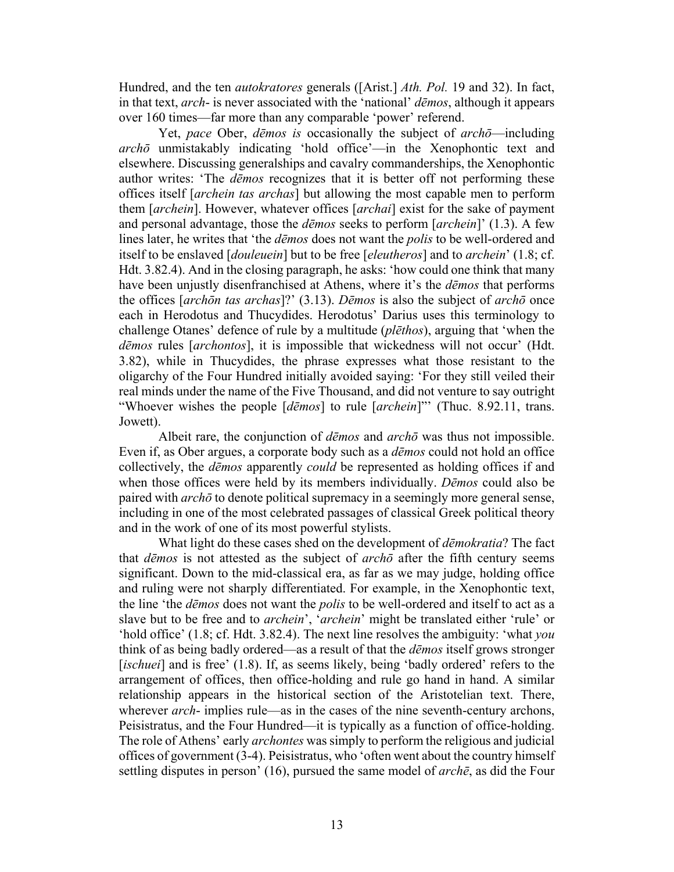Hundred, and the ten *autokratores* generals ([Arist.] *Ath. Pol.* 19 and 32). In fact, in that text, *arch*- is never associated with the 'national' *dēmos*, although it appears over 160 times—far more than any comparable 'power' referend.

Yet, *pace* Ober, *dēmos is* occasionally the subject of *archō*—including *archō* unmistakably indicating 'hold office'—in the Xenophontic text and elsewhere. Discussing generalships and cavalry commanderships, the Xenophontic author writes: 'The *dēmos* recognizes that it is better off not performing these offices itself [*archein tas archas*] but allowing the most capable men to perform them [*archein*]. However, whatever offices [*archai*] exist for the sake of payment and personal advantage, those the *dēmos* seeks to perform [*archein*]' (1.3). A few lines later, he writes that 'the *dēmos* does not want the *polis* to be well-ordered and itself to be enslaved [*douleuein*] but to be free [*eleutheros*] and to *archein*' (1.8; cf. Hdt. 3.82.4). And in the closing paragraph, he asks: 'how could one think that many have been unjustly disenfranchised at Athens, where it's the *dēmos* that performs the offices [*archōn tas archas*]?' (3.13). *Dēmos* is also the subject of *archō* once each in Herodotus and Thucydides. Herodotus' Darius uses this terminology to challenge Otanes' defence of rule by a multitude (*plēthos*), arguing that 'when the *dēmos* rules [*archontos*], it is impossible that wickedness will not occur' (Hdt. 3.82), while in Thucydides, the phrase expresses what those resistant to the oligarchy of the Four Hundred initially avoided saying: 'For they still veiled their real minds under the name of the Five Thousand, and did not venture to say outright "Whoever wishes the people [*dēmos*] to rule [*archein*]"' (Thuc. 8.92.11, trans. Jowett).

Albeit rare, the conjunction of *dēmos* and *archō* was thus not impossible. Even if, as Ober argues, a corporate body such as a *dēmos* could not hold an office collectively, the *dēmos* apparently *could* be represented as holding offices if and when those offices were held by its members individually. *Dēmos* could also be paired with *archō* to denote political supremacy in a seemingly more general sense, including in one of the most celebrated passages of classical Greek political theory and in the work of one of its most powerful stylists.

What light do these cases shed on the development of *dēmokratia*? The fact that *dēmos* is not attested as the subject of *archō* after the fifth century seems significant. Down to the mid-classical era, as far as we may judge, holding office and ruling were not sharply differentiated. For example, in the Xenophontic text, the line 'the *dēmos* does not want the *polis* to be well-ordered and itself to act as a slave but to be free and to *archein*', '*archein*' might be translated either 'rule' or 'hold office' (1.8; cf. Hdt. 3.82.4). The next line resolves the ambiguity: 'what *you* think of as being badly ordered—as a result of that the *dēmos* itself grows stronger [*ischuei*] and is free' (1.8). If, as seems likely, being 'badly ordered' refers to the arrangement of offices, then office-holding and rule go hand in hand. A similar relationship appears in the historical section of the Aristotelian text. There, wherever *arch*- implies rule—as in the cases of the nine seventh-century archons, Peisistratus, and the Four Hundred—it is typically as a function of office-holding. The role of Athens' early *archontes* was simply to perform the religious and judicial offices of government (3-4). Peisistratus, who 'often went about the country himself settling disputes in person' (16), pursued the same model of *archē*, as did the Four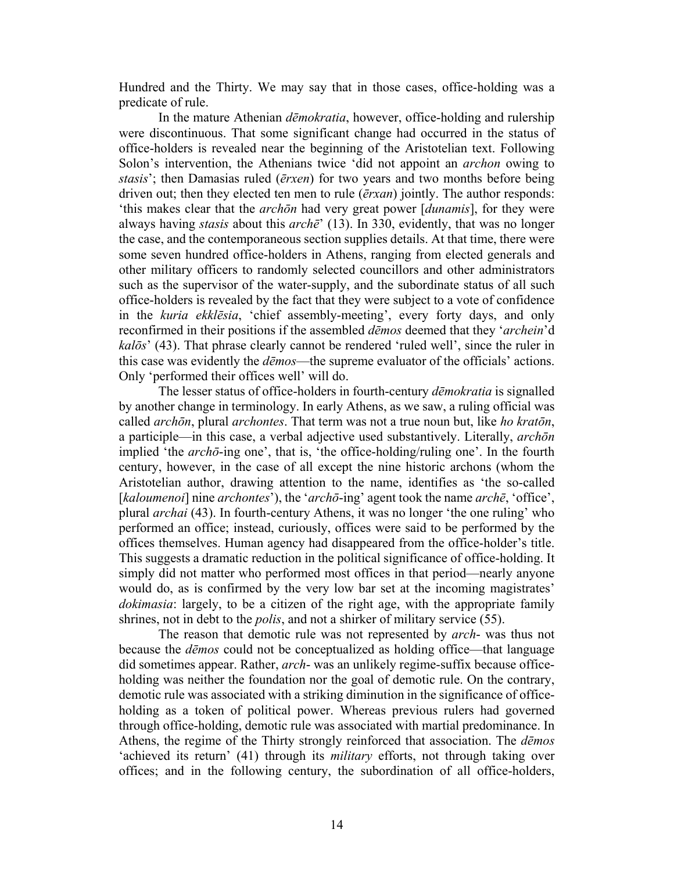Hundred and the Thirty. We may say that in those cases, office-holding was a predicate of rule.

In the mature Athenian *dēmokratia*, however, office-holding and rulership were discontinuous. That some significant change had occurred in the status of office-holders is revealed near the beginning of the Aristotelian text. Following Solon's intervention, the Athenians twice 'did not appoint an *archon* owing to *stasis*'; then Damasias ruled (*ērxen*) for two years and two months before being driven out; then they elected ten men to rule (*ērxan*) jointly. The author responds: 'this makes clear that the *archōn* had very great power [*dunamis*], for they were always having *stasis* about this *archē*' (13). In 330, evidently, that was no longer the case, and the contemporaneous section supplies details. At that time, there were some seven hundred office-holders in Athens, ranging from elected generals and other military officers to randomly selected councillors and other administrators such as the supervisor of the water-supply, and the subordinate status of all such office-holders is revealed by the fact that they were subject to a vote of confidence in the *kuria ekklēsia*, 'chief assembly-meeting', every forty days, and only reconfirmed in their positions if the assembled *dēmos* deemed that they '*archein*'d *kalōs*' (43). That phrase clearly cannot be rendered 'ruled well', since the ruler in this case was evidently the *dēmos*—the supreme evaluator of the officials' actions. Only 'performed their offices well' will do.

The lesser status of office-holders in fourth-century *dēmokratia* is signalled by another change in terminology. In early Athens, as we saw, a ruling official was called *archōn*, plural *archontes*. That term was not a true noun but, like *ho kratōn*, a participle—in this case, a verbal adjective used substantively. Literally, *archōn* implied 'the *archō*-ing one', that is, 'the office-holding/ruling one'. In the fourth century, however, in the case of all except the nine historic archons (whom the Aristotelian author, drawing attention to the name, identifies as 'the so-called [*kaloumenoi*] nine *archontes*'), the '*archō*-ing' agent took the name *archē*, 'office', plural *archai* (43). In fourth-century Athens, it was no longer 'the one ruling' who performed an office; instead, curiously, offices were said to be performed by the offices themselves. Human agency had disappeared from the office-holder's title. This suggests a dramatic reduction in the political significance of office-holding. It simply did not matter who performed most offices in that period—nearly anyone would do, as is confirmed by the very low bar set at the incoming magistrates' *dokimasia*: largely, to be a citizen of the right age, with the appropriate family shrines, not in debt to the *polis*, and not a shirker of military service (55).

The reason that demotic rule was not represented by *arch*- was thus not because the *dēmos* could not be conceptualized as holding office—that language did sometimes appear. Rather, *arch*- was an unlikely regime-suffix because officeholding was neither the foundation nor the goal of demotic rule. On the contrary, demotic rule was associated with a striking diminution in the significance of officeholding as a token of political power. Whereas previous rulers had governed through office-holding, demotic rule was associated with martial predominance. In Athens, the regime of the Thirty strongly reinforced that association. The *dēmos* 'achieved its return' (41) through its *military* efforts, not through taking over offices; and in the following century, the subordination of all office-holders,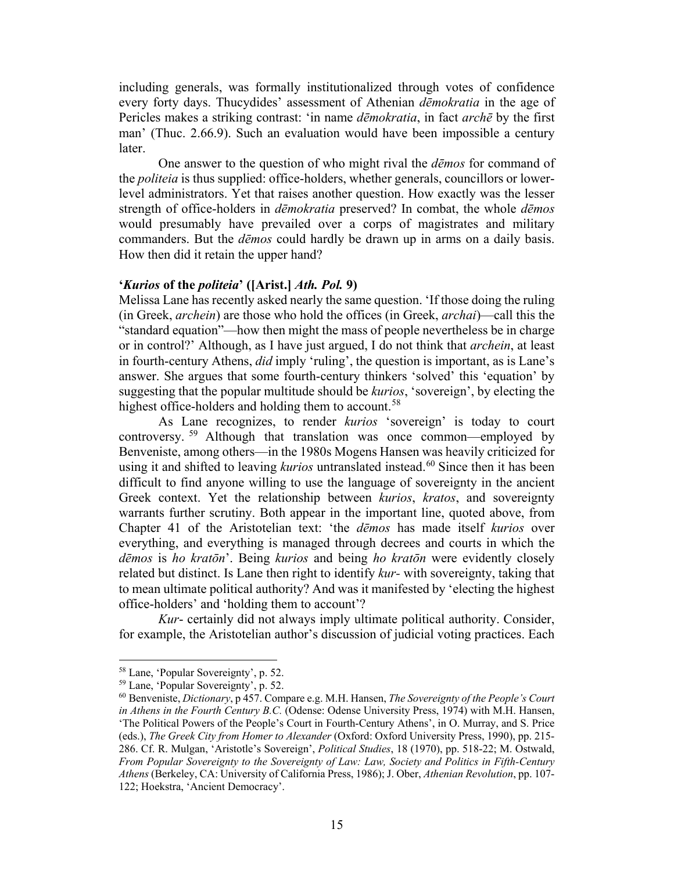including generals, was formally institutionalized through votes of confidence every forty days. Thucydides' assessment of Athenian *dēmokratia* in the age of Pericles makes a striking contrast: 'in name *dēmokratia*, in fact *archē* by the first man' (Thuc. 2.66.9). Such an evaluation would have been impossible a century later.

One answer to the question of who might rival the *dēmos* for command of the *politeia* is thus supplied: office-holders, whether generals, councillors or lowerlevel administrators. Yet that raises another question. How exactly was the lesser strength of office-holders in *dēmokratia* preserved? In combat, the whole *dēmos* would presumably have prevailed over a corps of magistrates and military commanders. But the *dēmos* could hardly be drawn up in arms on a daily basis. How then did it retain the upper hand?

#### **'***Kurios* **of the** *politeia***' ([Arist.]** *Ath. Pol.* **9)**

Melissa Lane has recently asked nearly the same question. 'If those doing the ruling (in Greek, *archein*) are those who hold the offices (in Greek, *archai*)—call this the "standard equation"—how then might the mass of people nevertheless be in charge or in control?' Although, as I have just argued, I do not think that *archein*, at least in fourth-century Athens, *did* imply 'ruling', the question is important, as is Lane's answer. She argues that some fourth-century thinkers 'solved' this 'equation' by suggesting that the popular multitude should be *kurios*, 'sovereign', by electing the highest office-holders and holding them to account.<sup>[58](#page-14-0)</sup>

As Lane recognizes, to render *kurios* 'sovereign' is today to court controversy. [59](#page-14-1) Although that translation was once common—employed by Benveniste, among others—in the 1980s Mogens Hansen was heavily criticized for using it and shifted to leaving *kurios* untranslated instead.<sup>[60](#page-14-2)</sup> Since then it has been difficult to find anyone willing to use the language of sovereignty in the ancient Greek context. Yet the relationship between *kurios*, *kratos*, and sovereignty warrants further scrutiny. Both appear in the important line, quoted above, from Chapter 41 of the Aristotelian text: 'the *dēmos* has made itself *kurios* over everything, and everything is managed through decrees and courts in which the *dēmos* is *ho kratōn*'. Being *kurios* and being *ho kratōn* were evidently closely related but distinct. Is Lane then right to identify *kur-* with sovereignty, taking that to mean ultimate political authority? And was it manifested by 'electing the highest office-holders' and 'holding them to account'?

*Kur*- certainly did not always imply ultimate political authority. Consider, for example, the Aristotelian author's discussion of judicial voting practices. Each

<span id="page-14-2"></span><span id="page-14-1"></span>

<span id="page-14-0"></span><sup>58</sup> Lane, 'Popular Sovereignty', p. 52. 59 Lane, 'Popular Sovereignty', p. 52. 60 Benveniste, *Dictionary*, p 457. Compare e.g. M.H. Hansen, *The Sovereignty of the People's Court in Athens in the Fourth Century B.C.* (Odense: Odense University Press, 1974) with M.H. Hansen, 'The Political Powers of the People's Court in Fourth-Century Athens', in O. Murray, and S. Price (eds.), *The Greek City from Homer to Alexander* (Oxford: Oxford University Press, 1990), pp. 215- 286. Cf. R. Mulgan, 'Aristotle's Sovereign', *Political Studies*, 18 (1970), pp. 518-22; M. Ostwald, *From Popular Sovereignty to the Sovereignty of Law: Law, Society and Politics in Fifth-Century Athens* (Berkeley, CA: University of California Press, 1986); J. Ober, *Athenian Revolution*, pp. 107- 122; Hoekstra, 'Ancient Democracy'.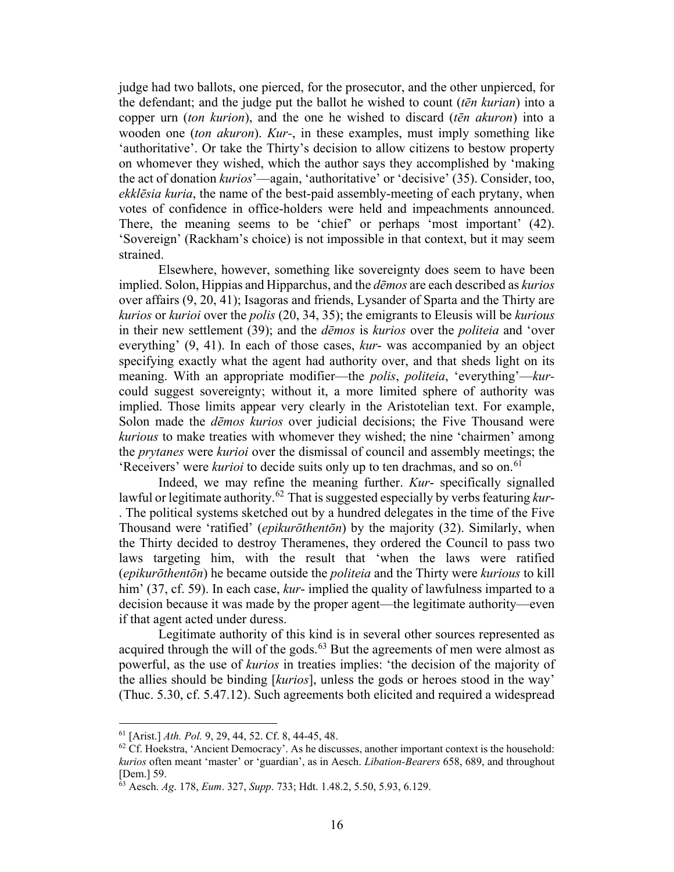judge had two ballots, one pierced, for the prosecutor, and the other unpierced, for the defendant; and the judge put the ballot he wished to count (*tēn kurian*) into a copper urn (*ton kurion*), and the one he wished to discard (*tēn akuron*) into a wooden one (*ton akuron*). *Kur-*, in these examples, must imply something like 'authoritative'. Or take the Thirty's decision to allow citizens to bestow property on whomever they wished, which the author says they accomplished by 'making the act of donation *kurios*'—again, 'authoritative' or 'decisive' (35). Consider, too, *ekklēsia kuria*, the name of the best-paid assembly-meeting of each prytany, when votes of confidence in office-holders were held and impeachments announced. There, the meaning seems to be 'chief' or perhaps 'most important' (42). 'Sovereign' (Rackham's choice) is not impossible in that context, but it may seem strained.

Elsewhere, however, something like sovereignty does seem to have been implied. Solon, Hippias and Hipparchus, and the *dēmos* are each described as *kurios*  over affairs (9, 20, 41); Isagoras and friends, Lysander of Sparta and the Thirty are *kurios* or *kurioi* over the *polis* (20, 34, 35); the emigrants to Eleusis will be *kurious*  in their new settlement (39); and the *dēmos* is *kurios* over the *politeia* and 'over everything' (9, 41). In each of those cases, *kur*- was accompanied by an object specifying exactly what the agent had authority over, and that sheds light on its meaning. With an appropriate modifier—the *polis*, *politeia*, 'everything'—*kur*could suggest sovereignty; without it, a more limited sphere of authority was implied. Those limits appear very clearly in the Aristotelian text. For example, Solon made the *dēmos kurios* over judicial decisions; the Five Thousand were *kurious* to make treaties with whomever they wished; the nine 'chairmen' among the *prytanes* were *kurioi* over the dismissal of council and assembly meetings; the 'Receivers' were *kurioi* to decide suits only up to ten drachmas, and so on.<sup>61</sup>

Indeed, we may refine the meaning further. *Kur*- specifically signalled lawful or legitimate authority.<sup>[62](#page-15-1)</sup> That is suggested especially by verbs featuring *kur*-. The political systems sketched out by a hundred delegates in the time of the Five Thousand were 'ratified' (*epikurōthentōn*) by the majority (32). Similarly, when the Thirty decided to destroy Theramenes, they ordered the Council to pass two laws targeting him, with the result that 'when the laws were ratified (*epikurōthentōn*) he became outside the *politeia* and the Thirty were *kurious* to kill him' (37, cf. 59). In each case, *kur*-implied the quality of lawfulness imparted to a decision because it was made by the proper agent—the legitimate authority—even if that agent acted under duress.

Legitimate authority of this kind is in several other sources represented as acquired through the will of the gods.<sup>[63](#page-15-2)</sup> But the agreements of men were almost as powerful, as the use of *kurios* in treaties implies: 'the decision of the majority of the allies should be binding [*kurios*], unless the gods or heroes stood in the way' (Thuc. 5.30, cf. 5.47.12). Such agreements both elicited and required a widespread

<sup>61</sup> [Arist.] *Ath. Pol.* 9, 29, 44, 52. Cf. 8, 44-45, 48.

<span id="page-15-1"></span><span id="page-15-0"></span> $62$  Cf. Hoekstra, 'Ancient Democracy'. As he discusses, another important context is the household: *kurios* often meant 'master' or 'guardian', as in Aesch. *Libation-Bearers* 658, 689, and throughout [Dem.] 59.

<span id="page-15-2"></span><sup>63</sup> Aesch. *Ag*. 178, *Eum*. 327, *Supp*. 733; Hdt. 1.48.2, 5.50, 5.93, 6.129.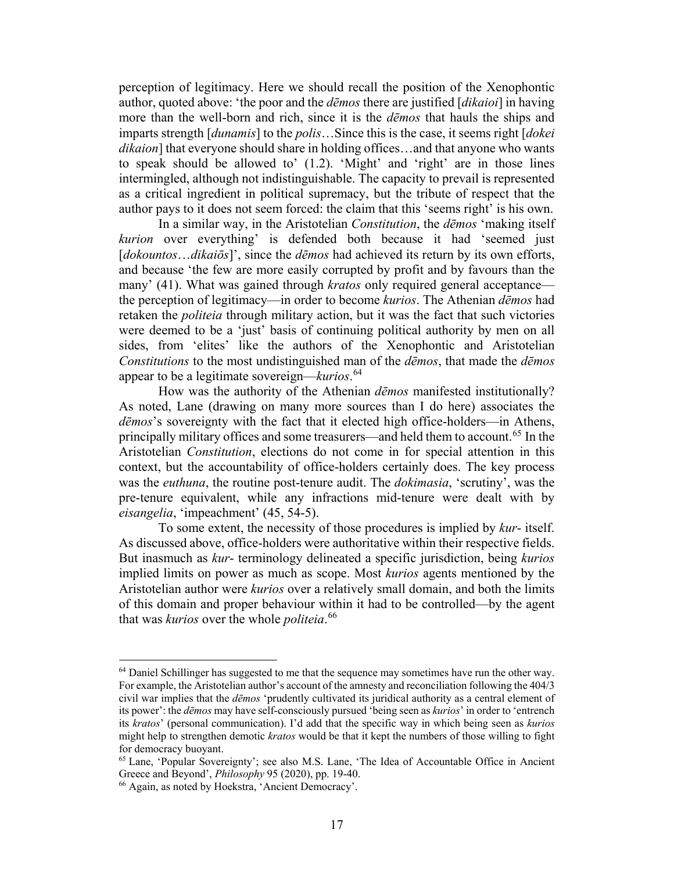perception of legitimacy. Here we should recall the position of the Xenophontic author, quoted above: 'the poor and the *dēmos* there are justified [*dikaioi*] in having more than the well-born and rich, since it is the *dēmos* that hauls the ships and imparts strength [*dunamis*] to the *polis*…Since this is the case, it seems right [*dokei dikaion*] that everyone should share in holding offices…and that anyone who wants to speak should be allowed to' (1.2). 'Might' and 'right' are in those lines intermingled, although not indistinguishable. The capacity to prevail is represented as a critical ingredient in political supremacy, but the tribute of respect that the author pays to it does not seem forced: the claim that this 'seems right' is his own.

In a similar way, in the Aristotelian *Constitution*, the *dēmos* 'making itself *kurion* over everything' is defended both because it had 'seemed just [*dokountos...dikaiōs*]', since the *dēmos* had achieved its return by its own efforts, and because 'the few are more easily corrupted by profit and by favours than the many' (41). What was gained through *kratos* only required general acceptance the perception of legitimacy—in order to become *kurios*. The Athenian *dēmos* had retaken the *politeia* through military action, but it was the fact that such victories were deemed to be a 'just' basis of continuing political authority by men on all sides, from 'elites' like the authors of the Xenophontic and Aristotelian *Constitutions* to the most undistinguished man of the *dēmos*, that made the *dēmos* appear to be a legitimate sovereign—*kurios*. [64](#page-16-0)

How was the authority of the Athenian *dēmos* manifested institutionally? As noted, Lane (drawing on many more sources than I do here) associates the *dēmos*'s sovereignty with the fact that it elected high office-holders—in Athens, principally military offices and some treasurers—and held them to account.<sup>[65](#page-16-1)</sup> In the Aristotelian *Constitution*, elections do not come in for special attention in this context, but the accountability of office-holders certainly does. The key process was the *euthuna*, the routine post-tenure audit. The *dokimasia*, 'scrutiny', was the pre-tenure equivalent, while any infractions mid-tenure were dealt with by *eisangelia*, 'impeachment' (45, 54-5).

To some extent, the necessity of those procedures is implied by *kur*- itself. As discussed above, office-holders were authoritative within their respective fields. But inasmuch as *kur*- terminology delineated a specific jurisdiction, being *kurios* implied limits on power as much as scope. Most *kurios* agents mentioned by the Aristotelian author were *kurios* over a relatively small domain, and both the limits of this domain and proper behaviour within it had to be controlled—by the agent that was *kurios* over the whole *politeia*. [66](#page-16-2)

<span id="page-16-0"></span><sup>&</sup>lt;sup>64</sup> Daniel Schillinger has suggested to me that the sequence may sometimes have run the other way. For example, the Aristotelian author's account of the amnesty and reconciliation following the 404/3 civil war implies that the *dēmos* 'prudently cultivated its juridical authority as a central element of its power': the *dēmos* may have self-consciously pursued 'being seen as *kurios*' in order to 'entrench its *kratos*' (personal communication). I'd add that the specific way in which being seen as *kurios* might help to strengthen demotic *kratos* would be that it kept the numbers of those willing to fight for democracy buoyant.

<span id="page-16-1"></span><sup>65</sup> Lane, 'Popular Sovereignty'; see also M.S. Lane, 'The Idea of Accountable Office in Ancient Greece and Beyond', *Philosophy* 95 (2020), pp. 19-40.<br><sup>66</sup> Again, as noted by Hoekstra, 'Ancient Democracy'.

<span id="page-16-2"></span>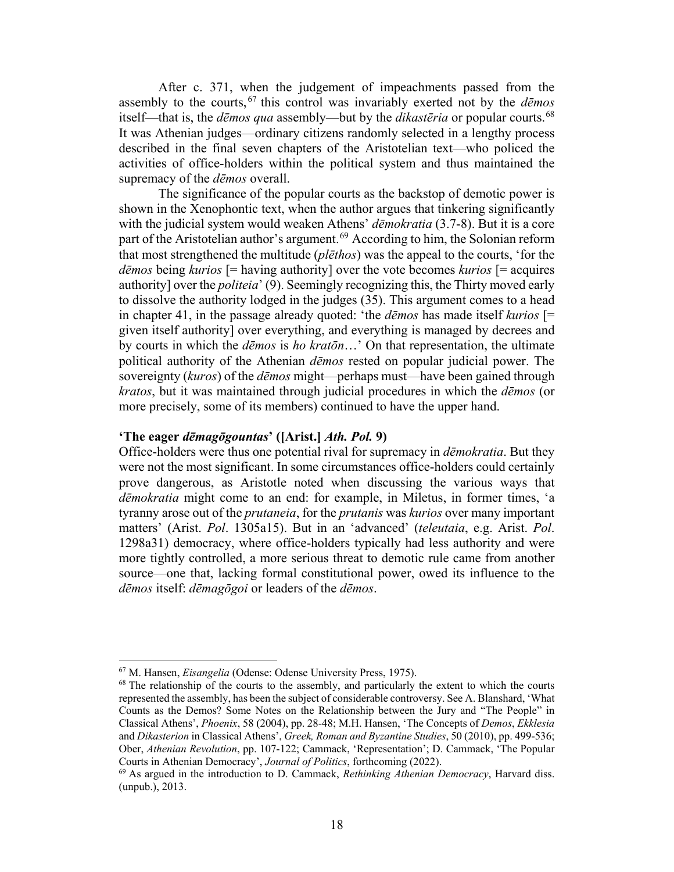After c. 371, when the judgement of impeachments passed from the assembly to the courts, [67](#page-17-0) this control was invariably exerted not by the *dēmos* itself—that is, the *dēmos qua* assembly—but by the *dikastēria* or popular courts.[68](#page-17-1) It was Athenian judges—ordinary citizens randomly selected in a lengthy process described in the final seven chapters of the Aristotelian text—who policed the activities of office-holders within the political system and thus maintained the supremacy of the *dēmos* overall.

The significance of the popular courts as the backstop of demotic power is shown in the Xenophontic text, when the author argues that tinkering significantly with the judicial system would weaken Athens' *dēmokratia* (3.7-8). But it is a core part of the Aristotelian author's argument.<sup>[69](#page-17-2)</sup> According to him, the Solonian reform that most strengthened the multitude (*plēthos*) was the appeal to the courts, 'for the *dēmos* being *kurios* [= having authority] over the vote becomes *kurios* [= acquires authority] over the *politeia*' (9). Seemingly recognizing this, the Thirty moved early to dissolve the authority lodged in the judges (35). This argument comes to a head in chapter 41, in the passage already quoted: 'the *dēmos* has made itself *kurios* [= given itself authority] over everything, and everything is managed by decrees and by courts in which the *dēmos* is *ho kratōn*…' On that representation, the ultimate political authority of the Athenian *dēmos* rested on popular judicial power. The sovereignty (*kuros*) of the *dēmos* might—perhaps must—have been gained through *kratos*, but it was maintained through judicial procedures in which the *dēmos* (or more precisely, some of its members) continued to have the upper hand.

# **'The eager** *dēmagōgountas***' ([Arist.]** *Ath. Pol.* **9)**

Office-holders were thus one potential rival for supremacy in *dēmokratia*. But they were not the most significant. In some circumstances office-holders could certainly prove dangerous, as Aristotle noted when discussing the various ways that *dēmokratia* might come to an end: for example, in Miletus, in former times, 'a tyranny arose out of the *prutaneia*, for the *prutanis* was *kurios* over many important matters' (Arist. *Pol*. 1305a15). But in an 'advanced' (*teleutaia*, e.g. Arist. *Pol*. 1298a31) democracy, where office-holders typically had less authority and were more tightly controlled, a more serious threat to demotic rule came from another source—one that, lacking formal constitutional power, owed its influence to the *dēmos* itself: *dēmagōgoi* or leaders of the *dēmos*.

<span id="page-17-1"></span><span id="page-17-0"></span><sup>&</sup>lt;sup>67</sup> M. Hansen, *Eisangelia* (Odense: Odense University Press, 1975).<br><sup>68</sup> The relationship of the courts to the assembly, and particularly the extent to which the courts represented the assembly, has been the subject of considerable controversy. See A. Blanshard, 'What Counts as the Demos? Some Notes on the Relationship between the Jury and "The People" in Classical Athens', *Phoenix*, 58 (2004), pp. 28-48; M.H. Hansen, 'The Concepts of *Demos*, *Ekklesia* and *Dikasterion* in Classical Athens', *Greek, Roman and Byzantine Studies*, 50 (2010), pp. 499-536; Ober, *Athenian Revolution*, pp. 107-122; Cammack, 'Representation'; D. Cammack, 'The Popular Courts in Athenian Democracy', *Journal of Politics*, forthcoming (2022).

<span id="page-17-2"></span><sup>69</sup> As argued in the introduction to D. Cammack, *Rethinking Athenian Democracy*, Harvard diss. (unpub.), 2013.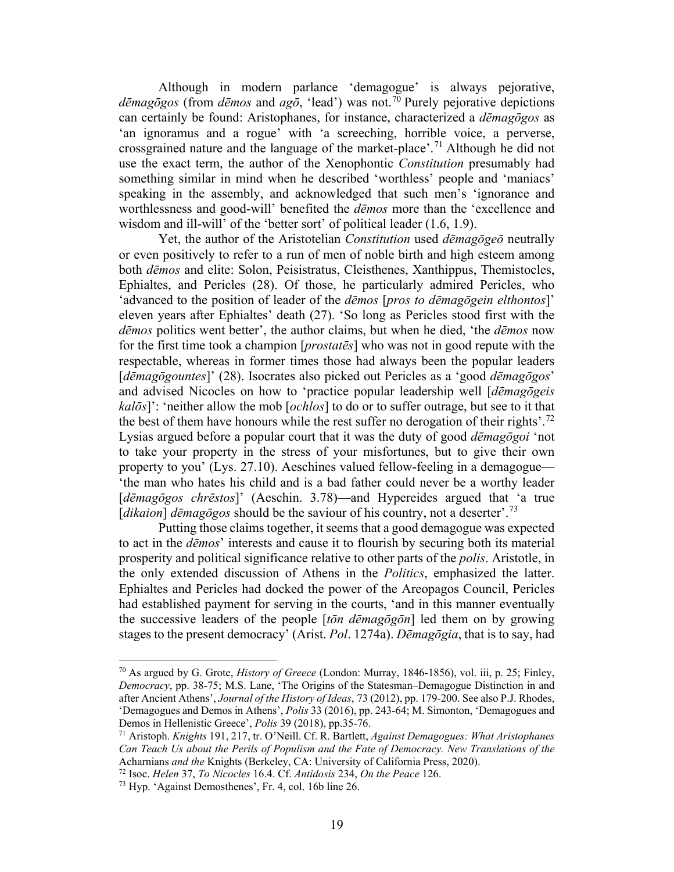Although in modern parlance 'demagogue' is always pejorative, *dēmagōgos* (from *dēmos* and *agō*, 'lead') was not.[70](#page-18-0) Purely pejorative depictions can certainly be found: Aristophanes, for instance, characterized a *dēmagōgos* as 'an ignoramus and a rogue' with 'a screeching, horrible voice, a perverse, crossgrained nature and the language of the market-place'.<sup>[71](#page-18-1)</sup> Although he did not use the exact term, the author of the Xenophontic *Constitution* presumably had something similar in mind when he described 'worthless' people and 'maniacs' speaking in the assembly, and acknowledged that such men's 'ignorance and worthlessness and good-will' benefited the *dēmos* more than the 'excellence and wisdom and ill-will' of the 'better sort' of political leader (1.6, 1.9).

Yet, the author of the Aristotelian *Constitution* used *dēmagōgeō* neutrally or even positively to refer to a run of men of noble birth and high esteem among both *dēmos* and elite: Solon, Peisistratus, Cleisthenes, Xanthippus, Themistocles, Ephialtes, and Pericles (28). Of those, he particularly admired Pericles, who 'advanced to the position of leader of the *dēmos* [*pros to dēmagōgein elthontos*]' eleven years after Ephialtes' death (27). 'So long as Pericles stood first with the *dēmos* politics went better', the author claims, but when he died, 'the *dēmos* now for the first time took a champion [*prostatēs*] who was not in good repute with the respectable, whereas in former times those had always been the popular leaders [*dēmagōgountes*]' (28). Isocrates also picked out Pericles as a 'good *dēmagōgos*' and advised Nicocles on how to 'practice popular leadership well [*dēmagōgeis kalōs*]': 'neither allow the mob [*ochlos*] to do or to suffer outrage, but see to it that the best of them have honours while the rest suffer no derogation of their rights'.<sup>[72](#page-18-2)</sup> Lysias argued before a popular court that it was the duty of good *dēmagōgoi* 'not to take your property in the stress of your misfortunes, but to give their own property to you' (Lys. 27.10). Aeschines valued fellow-feeling in a demagogue— 'the man who hates his child and is a bad father could never be a worthy leader [*dēmagōgos chrēstos*]' (Aeschin. 3.78)—and Hypereides argued that 'a true [*dikaion*] *dēmagōgos* should be the saviour of his country, not a deserter'.[73](#page-18-3) 

Putting those claims together, it seems that a good demagogue was expected to act in the *dēmos*' interests and cause it to flourish by securing both its material prosperity and political significance relative to other parts of the *polis*. Aristotle, in the only extended discussion of Athens in the *Politics*, emphasized the latter. Ephialtes and Pericles had docked the power of the Areopagos Council, Pericles had established payment for serving in the courts, 'and in this manner eventually the successive leaders of the people [*tōn dēmagōgōn*] led them on by growing stages to the present democracy' (Arist. *Pol*. 1274a). *Dēmagōgia*, that is to say, had

<span id="page-18-0"></span><sup>70</sup> As argued by G. Grote, *History of Greece* (London: Murray, 1846-1856), vol. iii, p. 25; Finley, *Democracy*, pp. 38-75; M.S. Lane, 'The Origins of the Statesman–Demagogue Distinction in and after Ancient Athens', *Journal of the History of Ideas*, 73 (2012), pp. 179-200. See also P.J. Rhodes, 'Demagogues and Demos in Athens', *Polis* 33 (2016), pp. 243-64; M. Simonton, 'Demagogues and

<span id="page-18-1"></span><sup>&</sup>lt;sup>71</sup> Aristoph. *Knights* 191, 217, tr. O'Neill. Cf. R. Bartlett, *Against Demagogues: What Aristophanes Can Teach Us about the Perils of Populism and the Fate of Democracy. New Translations of the* 

<span id="page-18-2"></span>Acharnians *and the* Knights (Berkeley, CA: University of California Press, 2020). 72 Isoc. *Helen* 37, *To Nicocles* 16.4. Cf. *Antidosis* 234, *On the Peace* 126.

<span id="page-18-3"></span><sup>73</sup> Hyp. 'Against Demosthenes', Fr. 4, col. 16b line 26.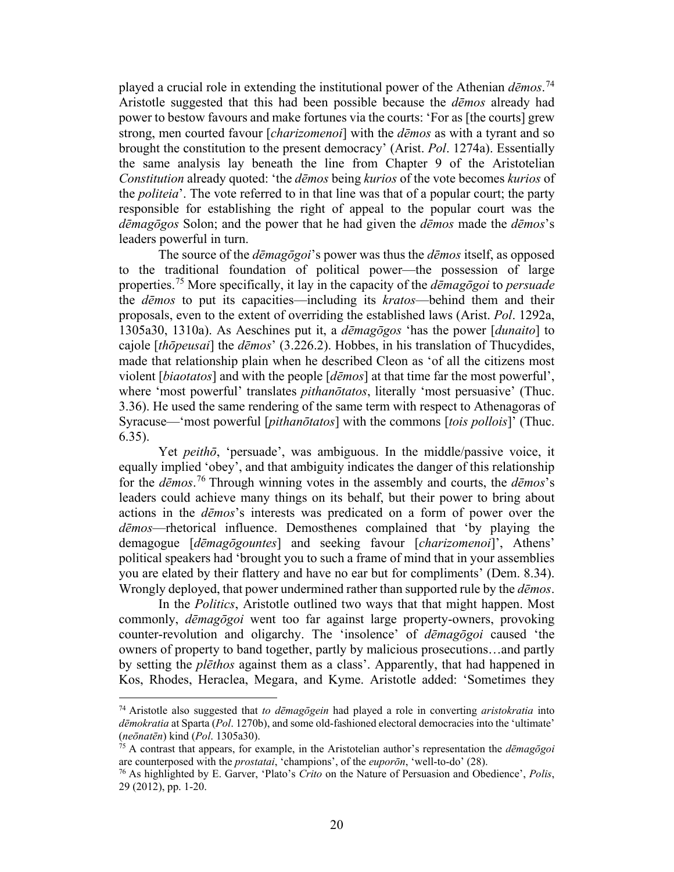played a crucial role in extending the institutional power of the Athenian *dēmos*. [74](#page-19-0) Aristotle suggested that this had been possible because the *dēmos* already had power to bestow favours and make fortunes via the courts: 'For as [the courts] grew strong, men courted favour [*charizomenoi*] with the *dēmos* as with a tyrant and so brought the constitution to the present democracy' (Arist. *Pol*. 1274a). Essentially the same analysis lay beneath the line from Chapter 9 of the Aristotelian *Constitution* already quoted: 'the *dēmos* being *kurios* of the vote becomes *kurios* of the *politeia*'. The vote referred to in that line was that of a popular court; the party responsible for establishing the right of appeal to the popular court was the *dēmagōgos* Solon; and the power that he had given the *dēmos* made the *dēmos*'s leaders powerful in turn.

The source of the *dēmagōgoi*'s power was thus the *dēmos* itself, as opposed to the traditional foundation of political power—the possession of large properties.[75](#page-19-1) More specifically, it lay in the capacity of the *dēmagōgoi* to *persuade* the *dēmos* to put its capacities—including its *kratos*—behind them and their proposals, even to the extent of overriding the established laws (Arist. *Pol*. 1292a, 1305a30, 1310a). As Aeschines put it, a *dēmagōgos* 'has the power [*dunaito*] to cajole [*thōpeusai*] the *dēmos*' (3.226.2). Hobbes, in his translation of Thucydides, made that relationship plain when he described Cleon as 'of all the citizens most violent [*biaotatos*] and with the people [*dēmos*] at that time far the most powerful', where 'most powerful' translates *pithanōtatos*, literally 'most persuasive' (Thuc. 3.36). He used the same rendering of the same term with respect to Athenagoras of Syracuse—'most powerful [*pithanōtatos*] with the commons [*tois pollois*]' (Thuc. 6.35).

Yet *peithō*, 'persuade', was ambiguous. In the middle/passive voice, it equally implied 'obey', and that ambiguity indicates the danger of this relationship for the *dēmos*. [76](#page-19-2) Through winning votes in the assembly and courts, the *dēmos*'s leaders could achieve many things on its behalf, but their power to bring about actions in the *dēmos*'s interests was predicated on a form of power over the *dēmos*—rhetorical influence. Demosthenes complained that 'by playing the demagogue [*dēmagōgountes*] and seeking favour [*charizomenoi*]', Athens' political speakers had 'brought you to such a frame of mind that in your assemblies you are elated by their flattery and have no ear but for compliments' (Dem. 8.34). Wrongly deployed, that power undermined rather than supported rule by the *dēmos*.

In the *Politics*, Aristotle outlined two ways that that might happen. Most commonly, *dēmagōgoi* went too far against large property-owners, provoking counter-revolution and oligarchy. The 'insolence' of *dēmagōgoi* caused 'the owners of property to band together, partly by malicious prosecutions…and partly by setting the *plēthos* against them as a class'. Apparently, that had happened in Kos, Rhodes, Heraclea, Megara, and Kyme. Aristotle added: 'Sometimes they

<span id="page-19-0"></span><sup>74</sup> Aristotle also suggested that *to dēmagōgein* had played a role in converting *aristokratia* into *dēmokratia* at Sparta (*Pol*. 1270b), and some old-fashioned electoral democracies into the 'ultimate'

<span id="page-19-1"></span><sup>(</sup>*neōnatēn*) kind (*Pol.* 1305a30).<br><sup>75</sup> A contrast that appears, for example, in the Aristotelian author's representation the *dēmagōgoi* are counterposed with the *prostatai*, 'champions', of the *euporōn*, 'well-to-do'

<span id="page-19-2"></span><sup>&</sup>lt;sup>76</sup> As highlighted by E. Garver, 'Plato's *Crito* on the Nature of Persuasion and Obedience', *Polis*, 29 (2012), pp. 1-20.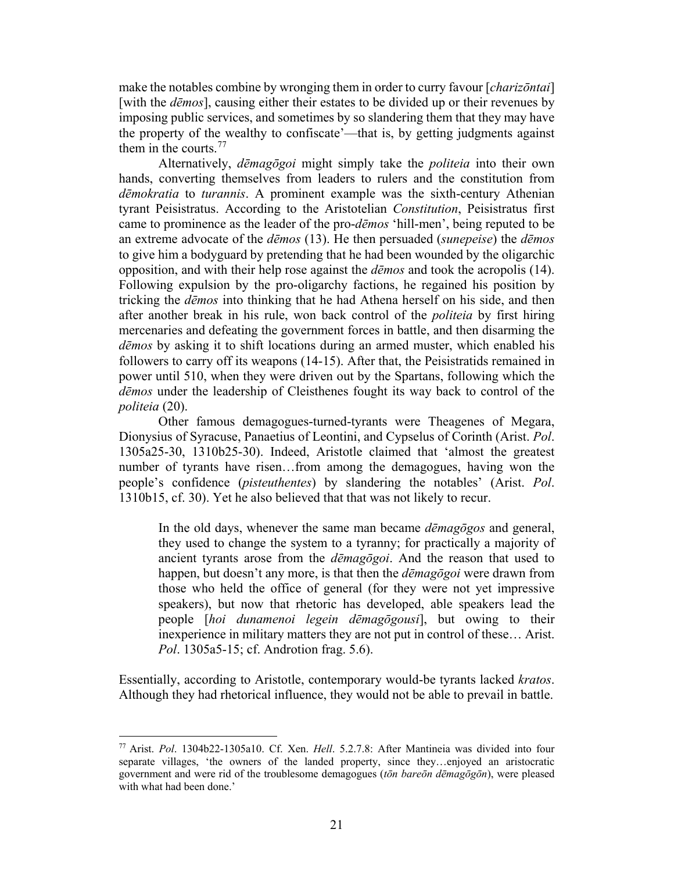make the notables combine by wronging them in order to curry favour [*charizōntai*] [with the *dēmos*], causing either their estates to be divided up or their revenues by imposing public services, and sometimes by so slandering them that they may have the property of the wealthy to confiscate'—that is, by getting judgments against them in the courts. $77$ 

Alternatively, *dēmagōgoi* might simply take the *politeia* into their own hands, converting themselves from leaders to rulers and the constitution from *dēmokratia* to *turannis*. A prominent example was the sixth-century Athenian tyrant Peisistratus. According to the Aristotelian *Constitution*, Peisistratus first came to prominence as the leader of the pro-*dēmos* 'hill-men', being reputed to be an extreme advocate of the *dēmos* (13). He then persuaded (*sunepeise*) the *dēmos* to give him a bodyguard by pretending that he had been wounded by the oligarchic opposition, and with their help rose against the *dēmos* and took the acropolis (14). Following expulsion by the pro-oligarchy factions, he regained his position by tricking the *dēmos* into thinking that he had Athena herself on his side, and then after another break in his rule, won back control of the *politeia* by first hiring mercenaries and defeating the government forces in battle, and then disarming the *dēmos* by asking it to shift locations during an armed muster, which enabled his followers to carry off its weapons (14-15). After that, the Peisistratids remained in power until 510, when they were driven out by the Spartans, following which the *dēmos* under the leadership of Cleisthenes fought its way back to control of the *politeia* (20).

Other famous demagogues-turned-tyrants were Theagenes of Megara, Dionysius of Syracuse, Panaetius of Leontini, and Cypselus of Corinth (Arist. *Pol*. 1305a25-30, 1310b25-30). Indeed, Aristotle claimed that 'almost the greatest number of tyrants have risen…from among the demagogues, having won the people's confidence (*pisteuthentes*) by slandering the notables' (Arist. *Pol*. 1310b15, cf. 30). Yet he also believed that that was not likely to recur.

In the old days, whenever the same man became *dēmagōgos* and general, they used to change the system to a tyranny; for practically a majority of ancient tyrants arose from the *dēmagōgoi*. And the reason that used to happen, but doesn't any more, is that then the *dēmagōgoi* were drawn from those who held the office of general (for they were not yet impressive speakers), but now that rhetoric has developed, able speakers lead the people [*hoi dunamenoi legein dēmagōgousi*], but owing to their inexperience in military matters they are not put in control of these… Arist. *Pol*. 1305a5-15; cf. Androtion frag. 5.6).

Essentially, according to Aristotle, contemporary would-be tyrants lacked *kratos*. Although they had rhetorical influence, they would not be able to prevail in battle.

<span id="page-20-0"></span><sup>77</sup> Arist. *Pol*. 1304b22-1305a10. Cf. Xen. *Hell*. 5.2.7.8: After Mantineia was divided into four separate villages, 'the owners of the landed property, since they…enjoyed an aristocratic government and were rid of the troublesome demagogues (*tōn bareōn dēmagōgōn*), were pleased with what had been done.'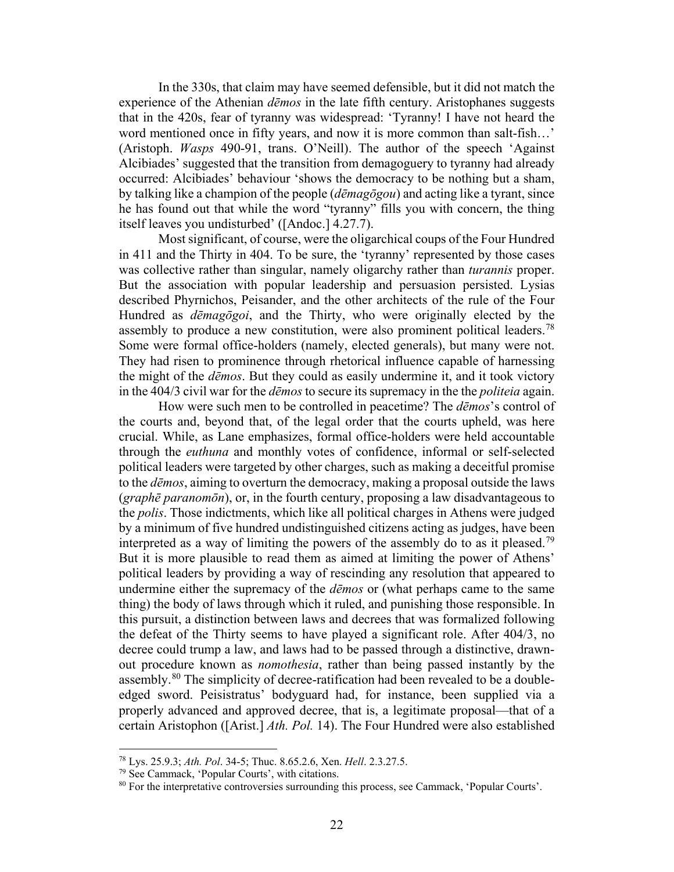In the 330s, that claim may have seemed defensible, but it did not match the experience of the Athenian *dēmos* in the late fifth century. Aristophanes suggests that in the 420s, fear of tyranny was widespread: 'Tyranny! I have not heard the word mentioned once in fifty years, and now it is more common than salt-fish...' (Aristoph. *Wasps* 490-91, trans. O'Neill). The author of the speech 'Against Alcibiades' suggested that the transition from demagoguery to tyranny had already occurred: Alcibiades' behaviour 'shows the democracy to be nothing but a sham, by talking like a champion of the people (*dēmagōgou*) and acting like a tyrant, since he has found out that while the word "tyranny" fills you with concern, the thing itself leaves you undisturbed' ([Andoc.] 4.27.7).

Most significant, of course, were the oligarchical coups of the Four Hundred in 411 and the Thirty in 404. To be sure, the 'tyranny' represented by those cases was collective rather than singular, namely oligarchy rather than *turannis* proper. But the association with popular leadership and persuasion persisted. Lysias described Phyrnichos, Peisander, and the other architects of the rule of the Four Hundred as *dēmagōgoi*, and the Thirty, who were originally elected by the assembly to produce a new constitution, were also prominent political leaders.<sup>[78](#page-21-0)</sup> Some were formal office-holders (namely, elected generals), but many were not. They had risen to prominence through rhetorical influence capable of harnessing the might of the *dēmos*. But they could as easily undermine it, and it took victory in the 404/3 civil war for the *dēmos* to secure its supremacy in the the *politeia* again.

How were such men to be controlled in peacetime? The *dēmos*'s control of the courts and, beyond that, of the legal order that the courts upheld, was here crucial. While, as Lane emphasizes, formal office-holders were held accountable through the *euthuna* and monthly votes of confidence, informal or self-selected political leaders were targeted by other charges, such as making a deceitful promise to the *dēmos*, aiming to overturn the democracy, making a proposal outside the laws (*graphē paranomōn*), or, in the fourth century, proposing a law disadvantageous to the *polis*. Those indictments, which like all political charges in Athens were judged by a minimum of five hundred undistinguished citizens acting as judges, have been interpreted as a way of limiting the powers of the assembly do to as it pleased.<sup>[79](#page-21-1)</sup> But it is more plausible to read them as aimed at limiting the power of Athens' political leaders by providing a way of rescinding any resolution that appeared to undermine either the supremacy of the *dēmos* or (what perhaps came to the same thing) the body of laws through which it ruled, and punishing those responsible. In this pursuit, a distinction between laws and decrees that was formalized following the defeat of the Thirty seems to have played a significant role. After 404/3, no decree could trump a law, and laws had to be passed through a distinctive, drawnout procedure known as *nomothesia*, rather than being passed instantly by the assembly. $80$  The simplicity of decree-ratification had been revealed to be a doubleedged sword. Peisistratus' bodyguard had, for instance, been supplied via a properly advanced and approved decree, that is, a legitimate proposal—that of a certain Aristophon ([Arist.] *Ath. Pol.* 14). The Four Hundred were also established

<span id="page-21-2"></span><span id="page-21-1"></span>

<span id="page-21-0"></span><sup>&</sup>lt;sup>78</sup> Lys. 25.9.3; *Ath. Pol.* 34-5; Thuc. 8.65.2.6, Xen. *Hell.* 2.3.27.5.<br><sup>79</sup> See Cammack, 'Popular Courts', with citations.<br><sup>80</sup> For the interpretative controversies surrounding this process, see Cammack, 'Popular Cour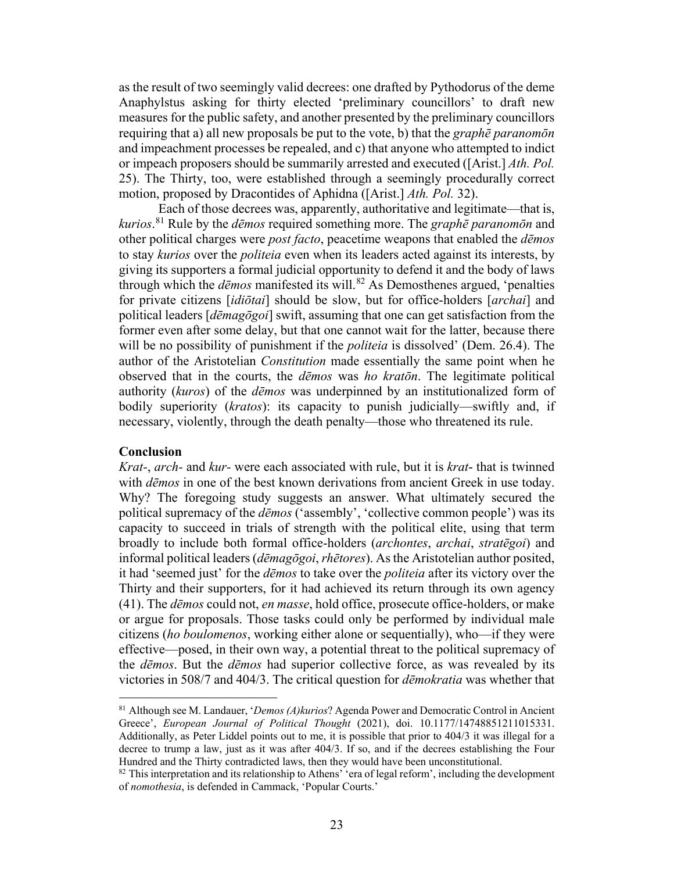as the result of two seemingly valid decrees: one drafted by Pythodorus of the deme Anaphylstus asking for thirty elected 'preliminary councillors' to draft new measures for the public safety, and another presented by the preliminary councillors requiring that a) all new proposals be put to the vote, b) that the *graphē paranomōn* and impeachment processes be repealed, and c) that anyone who attempted to indict or impeach proposers should be summarily arrested and executed ([Arist.] *Ath. Pol.* 25). The Thirty, too, were established through a seemingly procedurally correct motion, proposed by Dracontides of Aphidna ([Arist.] *Ath. Pol.* 32).

Each of those decrees was, apparently, authoritative and legitimate—that is, *kurios*. [81](#page-22-0) Rule by the *dēmos* required something more. The *graphē paranomōn* and other political charges were *post facto*, peacetime weapons that enabled the *dēmos* to stay *kurios* over the *politeia* even when its leaders acted against its interests, by giving its supporters a formal judicial opportunity to defend it and the body of laws through which the *dēmos* manifested its will. [82](#page-22-1) As Demosthenes argued, 'penalties for private citizens [*idiōtai*] should be slow, but for office-holders [*archai*] and political leaders [*dēmagōgoi*] swift, assuming that one can get satisfaction from the former even after some delay, but that one cannot wait for the latter, because there will be no possibility of punishment if the *politeia* is dissolved' (Dem. 26.4). The author of the Aristotelian *Constitution* made essentially the same point when he observed that in the courts, the *dēmos* was *ho kratōn*. The legitimate political authority (*kuros*) of the *dēmos* was underpinned by an institutionalized form of bodily superiority (*kratos*): its capacity to punish judicially—swiftly and, if necessary, violently, through the death penalty—those who threatened its rule.

#### **Conclusion**

 $\overline{a}$ 

*Krat-*, *arch-* and *kur-* were each associated with rule, but it is *krat*- that is twinned with *dēmos* in one of the best known derivations from ancient Greek in use today. Why? The foregoing study suggests an answer. What ultimately secured the political supremacy of the *dēmos* ('assembly', 'collective common people') was its capacity to succeed in trials of strength with the political elite, using that term broadly to include both formal office-holders (*archontes*, *archai*, *stratēgoi*) and informal political leaders (*dēmagōgoi*, *rhētores*). As the Aristotelian author posited, it had 'seemed just' for the *dēmos* to take over the *politeia* after its victory over the Thirty and their supporters, for it had achieved its return through its own agency (41). The *dēmos* could not, *en masse*, hold office, prosecute office-holders, or make or argue for proposals. Those tasks could only be performed by individual male citizens (*ho boulomenos*, working either alone or sequentially), who—if they were effective—posed, in their own way, a potential threat to the political supremacy of the *dēmos*. But the *dēmos* had superior collective force, as was revealed by its victories in 508/7 and 404/3. The critical question for *dēmokratia* was whether that

<span id="page-22-0"></span><sup>81</sup> Although see M. Landauer, '*Demos (A)kurios*? Agenda Power and Democratic Control in Ancient Greece', *European Journal of Political Thought* (2021), doi. 10.1177/14748851211015331. Additionally, as Peter Liddel points out to me, it is possible that prior to 404/3 it was illegal for a decree to trump a law, just as it was after 404/3. If so, and if the decrees establishing the Four Hundred and the Thirty contradicted laws, then they would have been unconstitutional.

<span id="page-22-1"></span> $82$  This interpretation and its relationship to Athens' 'era of legal reform', including the development of *nomothesia*, is defended in Cammack, 'Popular Courts.'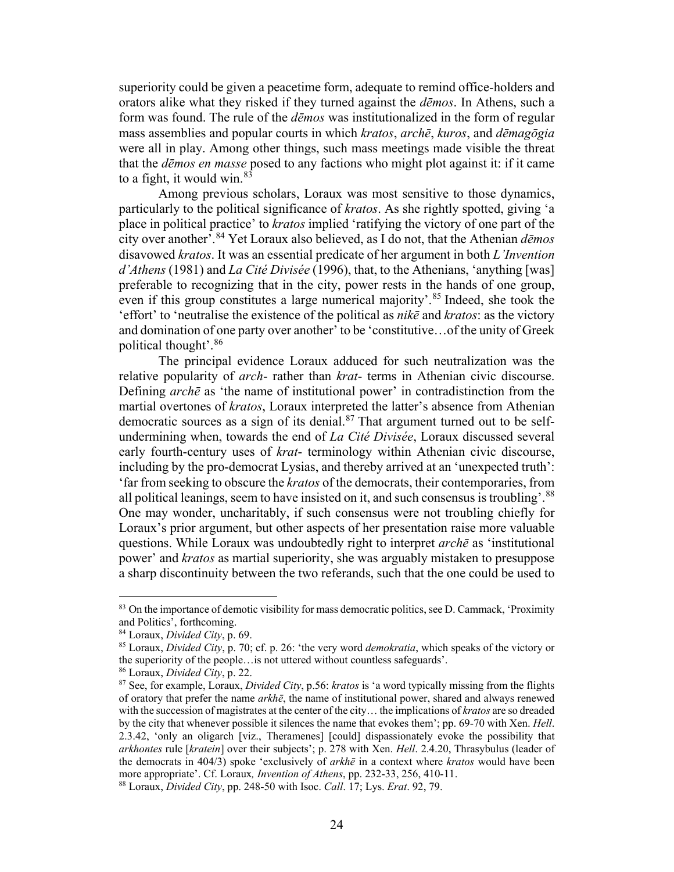superiority could be given a peacetime form, adequate to remind office-holders and orators alike what they risked if they turned against the *dēmos*. In Athens, such a form was found. The rule of the *dēmos* was institutionalized in the form of regular mass assemblies and popular courts in which *kratos*, *archē*, *kuros*, and *dēmagōgia* were all in play. Among other things, such mass meetings made visible the threat that the *dēmos en masse* posed to any factions who might plot against it: if it came to a fight, it would win.  $83$ 

Among previous scholars, Loraux was most sensitive to those dynamics, particularly to the political significance of *kratos*. As she rightly spotted, giving 'a place in political practice' to *kratos* implied 'ratifying the victory of one part of the city over another'.[84](#page-23-1) Yet Loraux also believed, as I do not, that the Athenian *dēmos* disavowed *kratos*. It was an essential predicate of her argument in both *L'Invention d'Athens* (1981) and *La Cité Divisée* (1996), that, to the Athenians, 'anything [was] preferable to recognizing that in the city, power rests in the hands of one group, even if this group constitutes a large numerical majority'.<sup>[85](#page-23-2)</sup> Indeed, she took the 'effort' to 'neutralise the existence of the political as *nikē* and *kratos*: as the victory and domination of one party over another' to be 'constitutive…of the unity of Greek political thought'.[86](#page-23-3) 

The principal evidence Loraux adduced for such neutralization was the relative popularity of *arch*- rather than *krat*- terms in Athenian civic discourse. Defining *archē* as 'the name of institutional power' in contradistinction from the martial overtones of *kratos*, Loraux interpreted the latter's absence from Athenian democratic sources as a sign of its denial. $87$  That argument turned out to be selfundermining when, towards the end of *La Cité Divisée*, Loraux discussed several early fourth-century uses of *krat*- terminology within Athenian civic discourse, including by the pro-democrat Lysias, and thereby arrived at an 'unexpected truth': 'far from seeking to obscure the *kratos* of the democrats, their contemporaries, from all political leanings, seem to have insisted on it, and such consensus is troubling'. $88$ One may wonder, uncharitably, if such consensus were not troubling chiefly for Loraux's prior argument, but other aspects of her presentation raise more valuable questions. While Loraux was undoubtedly right to interpret *archē* as 'institutional power' and *kratos* as martial superiority, she was arguably mistaken to presuppose a sharp discontinuity between the two referands, such that the one could be used to

<span id="page-23-0"></span><sup>&</sup>lt;sup>83</sup> On the importance of demotic visibility for mass democratic politics, see D. Cammack, 'Proximity and Politics', forthcoming.<br><sup>84</sup> Loraux, *Divided City*, p. 69.<br><sup>85</sup> Loraux, *Divided City*, p. 70; cf. p. 26: 'the very word *demokratia*, which speaks of the victory or

<span id="page-23-1"></span>

<span id="page-23-2"></span>the superiority of the people…is not uttered without countless safeguards'.

<span id="page-23-3"></span><sup>86</sup> Loraux, *Divided City*, p. 22.

<span id="page-23-4"></span><sup>87</sup> See, for example, Loraux, *Divided City*, p.56: *kratos* is 'a word typically missing from the flights of oratory that prefer the name *arkhē*, the name of institutional power, shared and always renewed with the succession of magistrates at the center of the city… the implications of *kratos* are so dreaded by the city that whenever possible it silences the name that evokes them'; pp. 69-70 with Xen. *Hell*. 2.3.42, 'only an oligarch [viz., Theramenes] [could] dispassionately evoke the possibility that *arkhontes* rule [*kratein*] over their subjects'; p. 278 with Xen. *Hell*. 2.4.20, Thrasybulus (leader of the democrats in 404/3) spoke 'exclusively of *arkhē* in a context where *kratos* would have been more appropriate'. Cf. Loraux*, Invention of Athens*, pp. 232-33, 256, 410-11. 88 Loraux, *Divided City*, pp. 248-50 with Isoc. *Call*. 17; Lys. *Erat*. 92, 79.

<span id="page-23-5"></span>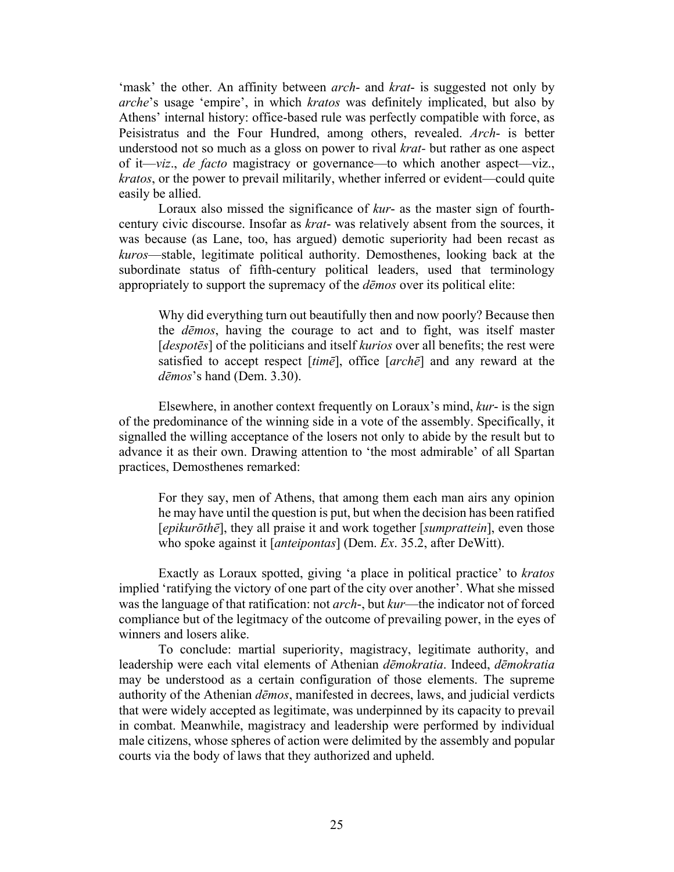'mask' the other. An affinity between *arch*- and *krat*- is suggested not only by *arche*'s usage 'empire', in which *kratos* was definitely implicated, but also by Athens' internal history: office-based rule was perfectly compatible with force, as Peisistratus and the Four Hundred, among others, revealed. *Arch*- is better understood not so much as a gloss on power to rival *krat-* but rather as one aspect of it—*viz*., *de facto* magistracy or governance—to which another aspect—viz., *kratos*, or the power to prevail militarily, whether inferred or evident—could quite easily be allied.

Loraux also missed the significance of *kur*- as the master sign of fourthcentury civic discourse. Insofar as *krat*- was relatively absent from the sources, it was because (as Lane, too, has argued) demotic superiority had been recast as *kuros*—stable, legitimate political authority. Demosthenes, looking back at the subordinate status of fifth-century political leaders, used that terminology appropriately to support the supremacy of the *dēmos* over its political elite:

Why did everything turn out beautifully then and now poorly? Because then the *dēmos*, having the courage to act and to fight, was itself master [*despotēs*] of the politicians and itself *kurios* over all benefits; the rest were satisfied to accept respect [*timē*], office [*archē*] and any reward at the *dēmos*'s hand (Dem. 3.30).

Elsewhere, in another context frequently on Loraux's mind, *kur*- is the sign of the predominance of the winning side in a vote of the assembly. Specifically, it signalled the willing acceptance of the losers not only to abide by the result but to advance it as their own. Drawing attention to 'the most admirable' of all Spartan practices, Demosthenes remarked:

For they say, men of Athens, that among them each man airs any opinion he may have until the question is put, but when the decision has been ratified [*epikurōthē*], they all praise it and work together [*sumprattein*], even those who spoke against it [*anteipontas*] (Dem. *Ex*. 35.2, after DeWitt).

Exactly as Loraux spotted, giving 'a place in political practice' to *kratos* implied 'ratifying the victory of one part of the city over another'. What she missed was the language of that ratification: not *arch*-, but *kur*—the indicator not of forced compliance but of the legitmacy of the outcome of prevailing power, in the eyes of winners and losers alike.

To conclude: martial superiority, magistracy, legitimate authority, and leadership were each vital elements of Athenian *dēmokratia*. Indeed, *dēmokratia* may be understood as a certain configuration of those elements. The supreme authority of the Athenian *dēmos*, manifested in decrees, laws, and judicial verdicts that were widely accepted as legitimate, was underpinned by its capacity to prevail in combat. Meanwhile, magistracy and leadership were performed by individual male citizens, whose spheres of action were delimited by the assembly and popular courts via the body of laws that they authorized and upheld.